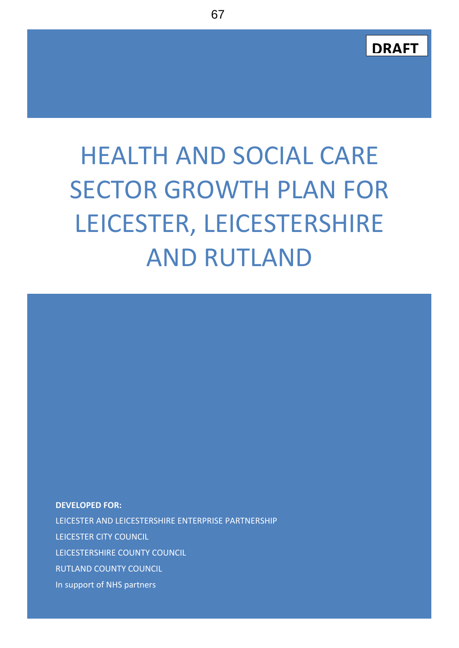

# HEALTH AND SOCIAL CARE SECTOR GROWTH PLAN FOR LEICESTER, LEICESTERSHIRE AND RUTLAND

**DEVELOPED FOR:** LEICESTER AND LEICESTERSHIRE ENTERPRISE PARTNERSHIP LEICESTER CITY COUNCIL LEICESTERSHIRE COUNTY COUNCIL RUTLAND COUNTY COUNCIL In support of NHS partners

**Health and Social Care Sector Growth Plan for Leicester, Leicestershire and Rutland**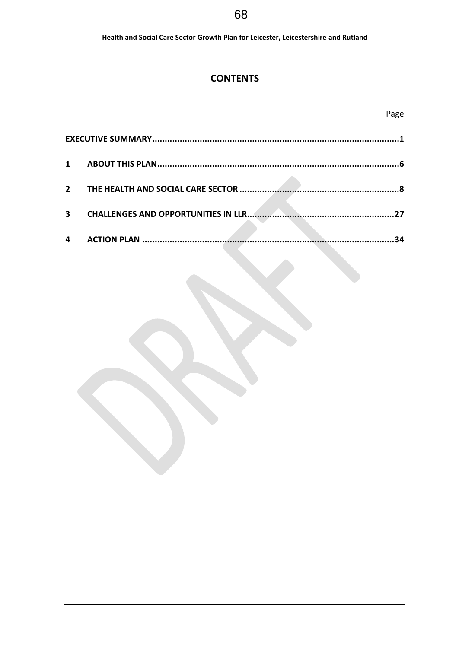# **CONTENTS**

| $\overline{2}$ |                                            |  |
|----------------|--------------------------------------------|--|
|                |                                            |  |
| 3              | <b>CHALLENGES AND OPPORTUNITIES IN LLR</b> |  |
|                |                                            |  |
| 4              |                                            |  |

# 68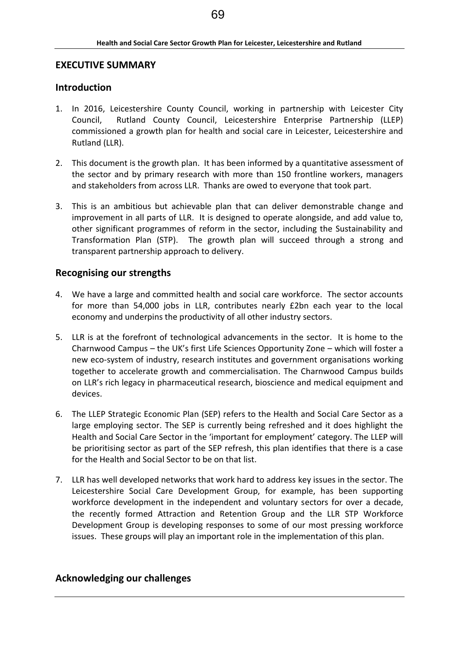# **EXECUTIVE SUMMARY**

# **Introduction**

- 1. In 2016, Leicestershire County Council, working in partnership with Leicester City Council, Rutland County Council, Leicestershire Enterprise Partnership (LLEP) commissioned a growth plan for health and social care in Leicester, Leicestershire and Rutland (LLR).
- 2. This document is the growth plan. It has been informed by a quantitative assessment of the sector and by primary research with more than 150 frontline workers, managers and stakeholders from across LLR. Thanks are owed to everyone that took part.
- 3. This is an ambitious but achievable plan that can deliver demonstrable change and improvement in all parts of LLR. It is designed to operate alongside, and add value to, other significant programmes of reform in the sector, including the Sustainability and Transformation Plan (STP). The growth plan will succeed through a strong and transparent partnership approach to delivery.

# **Recognising our strengths**

- 4. We have a large and committed health and social care workforce. The sector accounts for more than 54,000 jobs in LLR, contributes nearly £2bn each year to the local economy and underpins the productivity of all other industry sectors.
- 5. LLR is at the forefront of technological advancements in the sector. It is home to the Charnwood Campus – the UK's first Life Sciences Opportunity Zone – which will foster a new eco-system of industry, research institutes and government organisations working together to accelerate growth and commercialisation. The Charnwood Campus builds on LLR's rich legacy in pharmaceutical research, bioscience and medical equipment and devices.
- 6. The LLEP Strategic Economic Plan (SEP) refers to the Health and Social Care Sector as a large employing sector. The SEP is currently being refreshed and it does highlight the Health and Social Care Sector in the 'important for employment' category. The LLEP will be prioritising sector as part of the SEP refresh, this plan identifies that there is a case for the Health and Social Sector to be on that list.
- 7. LLR has well developed networks that work hard to address key issues in the sector. The Leicestershire Social Care Development Group, for example, has been supporting workforce development in the independent and voluntary sectors for over a decade, the recently formed Attraction and Retention Group and the LLR STP Workforce Development Group is developing responses to some of our most pressing workforce issues. These groups will play an important role in the implementation of this plan.

# **Acknowledging our challenges**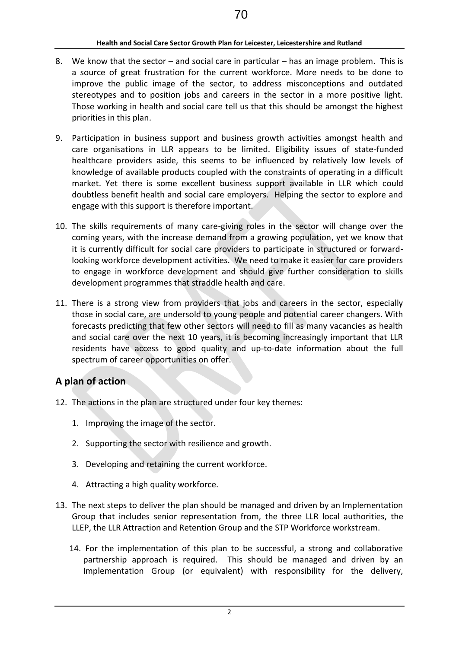- 8. We know that the sector and social care in particular has an image problem. This is a source of great frustration for the current workforce. More needs to be done to improve the public image of the sector, to address misconceptions and outdated stereotypes and to position jobs and careers in the sector in a more positive light. Those working in health and social care tell us that this should be amongst the highest priorities in this plan.
- 9. Participation in business support and business growth activities amongst health and care organisations in LLR appears to be limited. Eligibility issues of state-funded healthcare providers aside, this seems to be influenced by relatively low levels of knowledge of available products coupled with the constraints of operating in a difficult market. Yet there is some excellent business support available in LLR which could doubtless benefit health and social care employers. Helping the sector to explore and engage with this support is therefore important.
- 10. The skills requirements of many care-giving roles in the sector will change over the coming years, with the increase demand from a growing population, yet we know that it is currently difficult for social care providers to participate in structured or forwardlooking workforce development activities. We need to make it easier for care providers to engage in workforce development and should give further consideration to skills development programmes that straddle health and care.
- 11. There is a strong view from providers that jobs and careers in the sector, especially those in social care, are undersold to young people and potential career changers. With forecasts predicting that few other sectors will need to fill as many vacancies as health and social care over the next 10 years, it is becoming increasingly important that LLR residents have access to good quality and up-to-date information about the full spectrum of career opportunities on offer.

# **A plan of action**

- 12. The actions in the plan are structured under four key themes:
	- 1. Improving the image of the sector.
	- 2. Supporting the sector with resilience and growth.
	- 3. Developing and retaining the current workforce.
	- 4. Attracting a high quality workforce.
- 13. The next steps to deliver the plan should be managed and driven by an Implementation Group that includes senior representation from, the three LLR local authorities, the LLEP, the LLR Attraction and Retention Group and the STP Workforce workstream.
	- 14. For the implementation of this plan to be successful, a strong and collaborative partnership approach is required. This should be managed and driven by an Implementation Group (or equivalent) with responsibility for the delivery,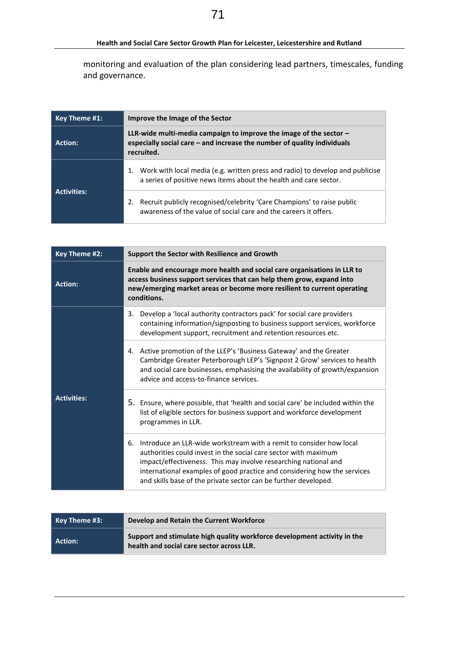monitoring and evaluation of the plan considering lead partners, timescales, funding and governance.

| Key Theme #1:      | Improve the Image of the Sector                                                                                                                                 |  |  |
|--------------------|-----------------------------------------------------------------------------------------------------------------------------------------------------------------|--|--|
| Action:            | LLR-wide multi-media campaign to improve the image of the sector $-$<br>especially social care $-$ and increase the number of quality individuals<br>recruited. |  |  |
|                    | 1. Work with local media (e.g. written press and radio) to develop and publicise<br>a series of positive news items about the health and care sector.           |  |  |
| <b>Activities:</b> | Recruit publicly recognised/celebrity 'Care Champions' to raise public<br>awareness of the value of social care and the careers it offers.                      |  |  |

| Key Theme #2:      | Support the Sector with Resilience and Growth                                                                                                                                                                                                                                                                                                                  |  |  |
|--------------------|----------------------------------------------------------------------------------------------------------------------------------------------------------------------------------------------------------------------------------------------------------------------------------------------------------------------------------------------------------------|--|--|
| <b>Action:</b>     | Enable and encourage more health and social care organisations in LLR to<br>access business support services that can help them grow, expand into<br>new/emerging market areas or become more resilient to current operating<br>conditions.                                                                                                                    |  |  |
|                    | Develop a 'local authority contractors pack' for social care providers<br>3.<br>containing information/signposting to business support services, workforce<br>development support, recruitment and retention resources etc.                                                                                                                                    |  |  |
|                    | 4. Active promotion of the LLEP's 'Business Gateway' and the Greater<br>Cambridge Greater Peterborough LEP's 'Signpost 2 Grow' services to health<br>and social care businesses, emphasising the availability of growth/expansion<br>advice and access-to-finance services.                                                                                    |  |  |
| <b>Activities:</b> | 5. Ensure, where possible, that 'health and social care' be included within the<br>list of eligible sectors for business support and workforce development<br>programmes in LLR.                                                                                                                                                                               |  |  |
|                    | Introduce an LLR-wide workstream with a remit to consider how local<br>6.<br>authorities could invest in the social care sector with maximum<br>impact/effectiveness. This may involve researching national and<br>international examples of good practice and considering how the services<br>and skills base of the private sector can be further developed. |  |  |

| Key Theme #3: K | Develop and Retain the Current Workforce                                                                              |
|-----------------|-----------------------------------------------------------------------------------------------------------------------|
| Action:         | Support and stimulate high quality workforce development activity in the<br>health and social care sector across LLR. |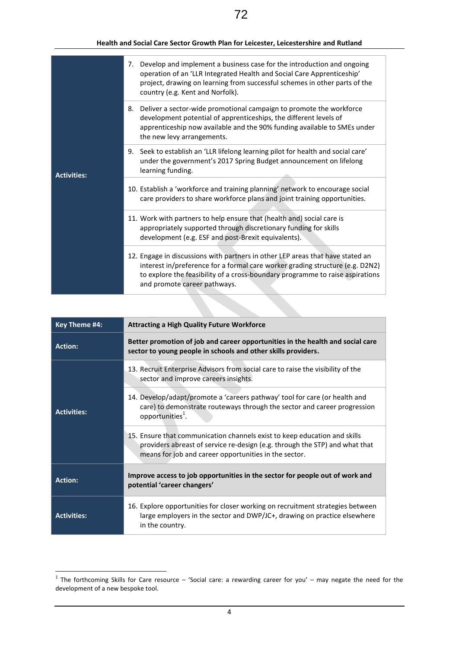|                    | 7. Develop and implement a business case for the introduction and ongoing<br>operation of an 'LLR Integrated Health and Social Care Apprenticeship'<br>project, drawing on learning from successful schemes in other parts of the<br>country (e.g. Kent and Norfolk).            |
|--------------------|----------------------------------------------------------------------------------------------------------------------------------------------------------------------------------------------------------------------------------------------------------------------------------|
|                    | 8. Deliver a sector-wide promotional campaign to promote the workforce<br>development potential of apprenticeships, the different levels of<br>apprenticeship now available and the 90% funding available to SMEs under<br>the new levy arrangements.                            |
| <b>Activities:</b> | 9. Seek to establish an 'LLR lifelong learning pilot for health and social care'<br>under the government's 2017 Spring Budget announcement on lifelong<br>learning funding.                                                                                                      |
|                    | 10. Establish a 'workforce and training planning' network to encourage social<br>care providers to share workforce plans and joint training opportunities.                                                                                                                       |
|                    | 11. Work with partners to help ensure that (health and) social care is<br>appropriately supported through discretionary funding for skills<br>development (e.g. ESF and post-Brexit equivalents).                                                                                |
|                    | 12. Engage in discussions with partners in other LEP areas that have stated an<br>interest in/preference for a formal care worker grading structure (e.g. D2N2)<br>to explore the feasibility of a cross-boundary programme to raise aspirations<br>and promote career pathways. |

| Key Theme #4:      | <b>Attracting a High Quality Future Workforce</b>                                                                                                                                                                 |  |  |
|--------------------|-------------------------------------------------------------------------------------------------------------------------------------------------------------------------------------------------------------------|--|--|
| <b>Action:</b>     | Better promotion of job and career opportunities in the health and social care<br>sector to young people in schools and other skills providers.                                                                   |  |  |
|                    | 13. Recruit Enterprise Advisors from social care to raise the visibility of the<br>sector and improve careers insights.                                                                                           |  |  |
| <b>Activities:</b> | 14. Develop/adapt/promote a 'careers pathway' tool for care (or health and<br>care) to demonstrate routeways through the sector and career progression<br>opportunities <sup>1</sup> .                            |  |  |
|                    | 15. Ensure that communication channels exist to keep education and skills<br>providers abreast of service re-design (e.g. through the STP) and what that<br>means for job and career opportunities in the sector. |  |  |
| <b>Action:</b>     | Improve access to job opportunities in the sector for people out of work and<br>potential 'career changers'                                                                                                       |  |  |
| <b>Activities:</b> | 16. Explore opportunities for closer working on recruitment strategies between<br>large employers in the sector and DWP/JC+, drawing on practice elsewhere<br>in the country.                                     |  |  |

**THE FORM THE 1999**<br>The forthcoming Skills for Care resource – 'Social care: a rewarding career for you' – may negate the need for the development of a new bespoke tool.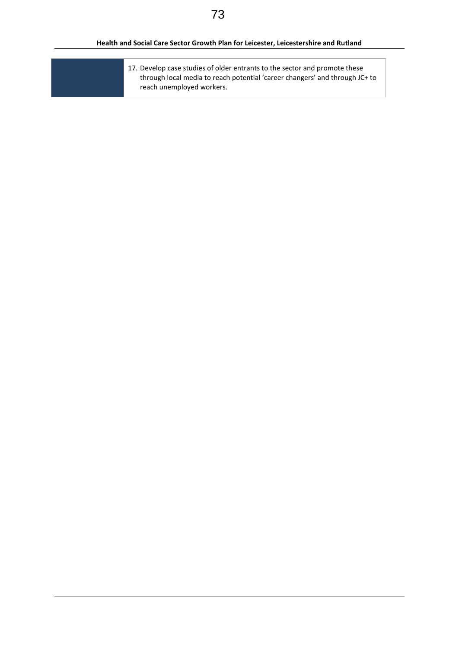17. Develop case studies of older entrants to the sector and promote these through local media to reach potential 'career changers' and through JC+ to reach unemployed workers.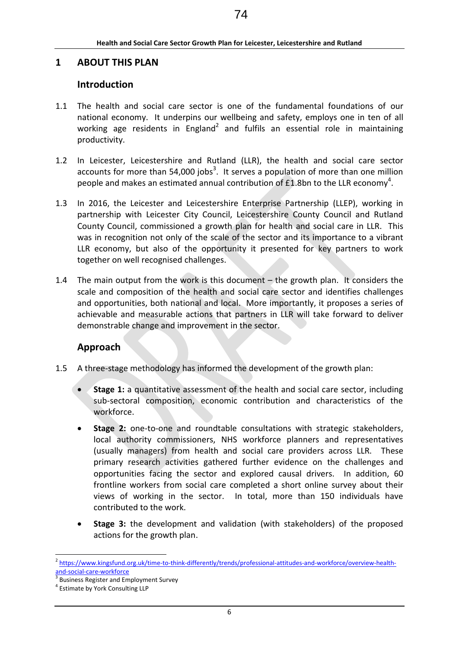# **1 ABOUT THIS PLAN**

# **Introduction**

- 1.1 The health and social care sector is one of the fundamental foundations of our national economy. It underpins our wellbeing and safety, employs one in ten of all working age residents in England<sup>2</sup> and fulfils an essential role in maintaining productivity.
- 1.2 In Leicester, Leicestershire and Rutland (LLR), the health and social care sector accounts for more than 54,000 jobs<sup>3</sup>. It serves a population of more than one million people and makes an estimated annual contribution of £1.8bn to the LLR economy<sup>4</sup>.
- 1.3 In 2016, the Leicester and Leicestershire Enterprise Partnership (LLEP), working in partnership with Leicester City Council, Leicestershire County Council and Rutland County Council, commissioned a growth plan for health and social care in LLR. This was in recognition not only of the scale of the sector and its importance to a vibrant LLR economy, but also of the opportunity it presented for key partners to work together on well recognised challenges.
- 1.4 The main output from the work is this document the growth plan. It considers the scale and composition of the health and social care sector and identifies challenges and opportunities, both national and local. More importantly, it proposes a series of achievable and measurable actions that partners in LLR will take forward to deliver demonstrable change and improvement in the sector.

# **Approach**

- 1.5 A three-stage methodology has informed the development of the growth plan:
	- **Stage 1:** a quantitative assessment of the health and social care sector, including sub-sectoral composition, economic contribution and characteristics of the workforce.
	- **Stage 2:** one-to-one and roundtable consultations with strategic stakeholders, local authority commissioners, NHS workforce planners and representatives (usually managers) from health and social care providers across LLR. These primary research activities gathered further evidence on the challenges and opportunities facing the sector and explored causal drivers. In addition, 60 frontline workers from social care completed a short online survey about their views of working in the sector. In total, more than 150 individuals have contributed to the work.
	- **Stage 3:** the development and validation (with stakeholders) of the proposed actions for the growth plan.

<sup>&</sup>lt;sup>2</sup> [https://www.kingsfund.org.uk/time-to-think-differently/trends/professional-attitudes-and-workforce/overview-health](https://www.kingsfund.org.uk/time-to-think-differently/trends/professional-attitudes-and-workforce/overview-health-and-social-care-workforce)[and-social-care-workforce](https://www.kingsfund.org.uk/time-to-think-differently/trends/professional-attitudes-and-workforce/overview-health-and-social-care-workforce)

<sup>3</sup> Business Register and Employment Survey

<sup>4</sup> Estimate by York Consulting LLP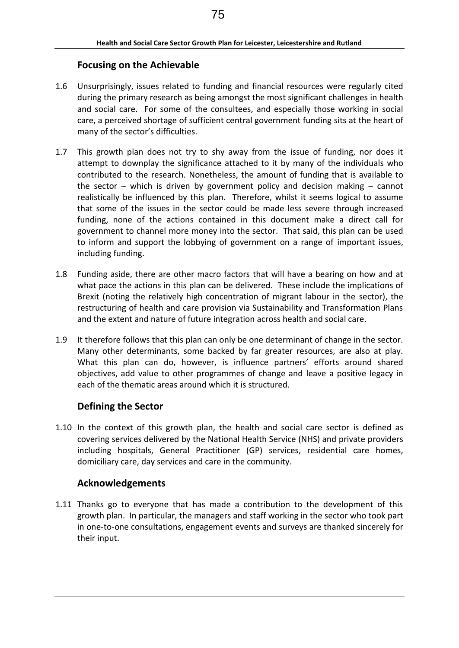# **Focusing on the Achievable**

- 1.6 Unsurprisingly, issues related to funding and financial resources were regularly cited during the primary research as being amongst the most significant challenges in health and social care. For some of the consultees, and especially those working in social care, a perceived shortage of sufficient central government funding sits at the heart of many of the sector's difficulties.
- 1.7 This growth plan does not try to shy away from the issue of funding, nor does it attempt to downplay the significance attached to it by many of the individuals who contributed to the research. Nonetheless, the amount of funding that is available to the sector – which is driven by government policy and decision making – cannot realistically be influenced by this plan. Therefore, whilst it seems logical to assume that some of the issues in the sector could be made less severe through increased funding, none of the actions contained in this document make a direct call for government to channel more money into the sector. That said, this plan can be used to inform and support the lobbying of government on a range of important issues, including funding.
- 1.8 Funding aside, there are other macro factors that will have a bearing on how and at what pace the actions in this plan can be delivered. These include the implications of Brexit (noting the relatively high concentration of migrant labour in the sector), the restructuring of health and care provision via Sustainability and Transformation Plans and the extent and nature of future integration across health and social care.
- 1.9 It therefore follows that this plan can only be one determinant of change in the sector. Many other determinants, some backed by far greater resources, are also at play. What this plan can do, however, is influence partners' efforts around shared objectives, add value to other programmes of change and leave a positive legacy in each of the thematic areas around which it is structured.

# **Defining the Sector**

1.10 In the context of this growth plan, the health and social care sector is defined as covering services delivered by the National Health Service (NHS) and private providers including hospitals, General Practitioner (GP) services, residential care homes, domiciliary care, day services and care in the community.

# **Acknowledgements**

1.11 Thanks go to everyone that has made a contribution to the development of this growth plan. In particular, the managers and staff working in the sector who took part in one-to-one consultations, engagement events and surveys are thanked sincerely for their input.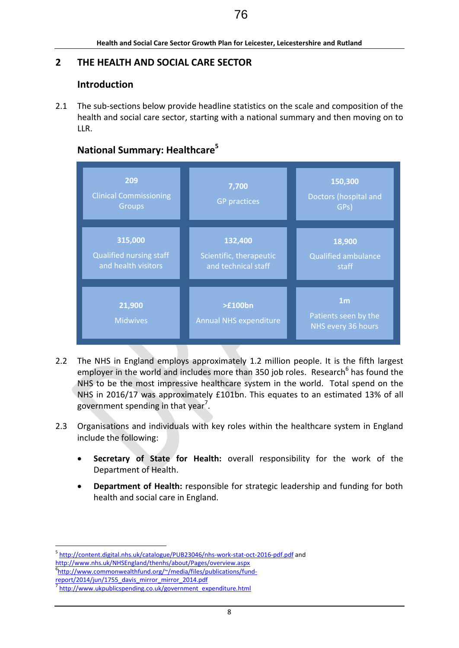# **2 THE HEALTH AND SOCIAL CARE SECTOR**

# **Introduction**

2.1 The sub-sections below provide headline statistics on the scale and composition of the health and social care sector, starting with a national summary and then moving on to LLR.

# **National Summary: Healthcare<sup>5</sup>**



- 2.2 The NHS in England employs approximately 1.2 million people. It is the fifth largest employer in the world and includes more than 350 job roles. Research<sup>6</sup> has found the NHS to be the most impressive healthcare system in the world. Total spend on the NHS in 2016/17 was approximately £101bn. This equates to an estimated 13% of all government spending in that year<sup>7</sup>.
- 2.3 Organisations and individuals with key roles within the healthcare system in England include the following:
	- **Secretary of State for Health:** overall responsibility for the work of the Department of Health.
	- **Department of Health:** responsible for strategic leadership and funding for both health and social care in England.

<sup>&</sup>lt;u>.</u> <sup>5</sup> <http://content.digital.nhs.uk/catalogue/PUB23046/nhs-work-stat-oct-2016-pdf.pdf> and <http://www.nhs.uk/NHSEngland/thenhs/about/Pages/overview.aspx> 6 [http://www.commonwealthfund.org/~/media/files/publications/fund-](http://www.commonwealthfund.org/~/media/files/publications/fund-report/2014/jun/1755_davis_mirror_mirror_2014.pdf)

[report/2014/jun/1755\\_davis\\_mirror\\_mirror\\_2014.pdf](http://www.commonwealthfund.org/~/media/files/publications/fund-report/2014/jun/1755_davis_mirror_mirror_2014.pdf)

<sup>7</sup> [http://www.ukpublicspending.co.uk/government\\_expenditure.html](http://www.ukpublicspending.co.uk/government_expenditure.html)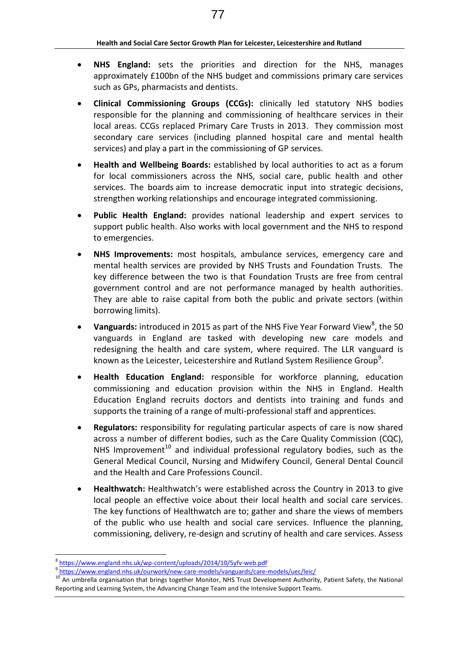- **NHS England:** sets the priorities and direction for the NHS, manages approximately £100bn of the NHS budget and commissions primary care services such as GPs, pharmacists and dentists.
- **Clinical Commissioning Groups (CCGs):** clinically led statutory NHS bodies responsible for the planning and commissioning of healthcare services in their local areas. CCGs replaced Primary Care Trusts in 2013. They commission most secondary care services (including planned hospital care and mental health services) and play a part in the commissioning of GP services.
- **Health and Wellbeing Boards:** established by local authorities to act as a forum for local commissioners across the NHS, social care, public health and other services. The boards aim to increase democratic input into strategic decisions, strengthen working relationships and encourage integrated commissioning.
- **Public Health England:** provides national leadership and expert services to support public health. Also works with local government and the NHS to respond to emergencies.
- **NHS Improvements:** most hospitals, ambulance services, emergency care and mental health services are provided by NHS Trusts and Foundation Trusts. The key difference between the two is that Foundation Trusts are free from central government control and are not performance managed by health authorities. They are able to raise capital from both the public and private sectors (within borrowing limits).
- Vanguards: introduced in 2015 as part of the NHS Five Year Forward View<sup>8</sup>, the 50 vanguards in England are tasked with developing new care models and redesigning the health and care system, where required. The LLR vanguard is known as the Leicester, Leicestershire and Rutland System Resilience Group<sup>9</sup>.
- **Health Education England:** responsible for workforce planning, education commissioning and education provision within the NHS in England. Health Education England recruits doctors and dentists into training and funds and supports the training of a range of multi-professional staff and apprentices.
- **Regulators:** responsibility for regulating particular aspects of care is now shared across a number of different bodies, such as the Care Quality Commission (CQC), NHS Improvement<sup>10</sup> and individual professional regulatory bodies, such as the [General Medical Council,](http://www.gmc-uk.org/) Nursing and [Midwifery Council,](http://www.nmc-uk.org/) [General Dental Council](http://www.gdc-uk.org/Pages/default.aspx) and the [Health and Care Professions Council.](http://www.hpc-uk.org/)
- **Healthwatch:** Healthwatch's were established across the Country in 2013 to give local people an effective voice about their local health and social care services. The key functions of Healthwatch are to; gather and share the views of members of the public who use health and social care services. Influence the planning, commissioning, delivery, re-design and scrutiny of health and care services. Assess

<sup>&</sup>lt;u>.</u> 8 <https://www.england.nhs.uk/wp-content/uploads/2014/10/5yfv-web.pdf>

<sup>&</sup>lt;sup>9</sup> <https://www.england.nhs.uk/ourwork/new-care-models/vanguards/care-models/uec/leic/>

<sup>&</sup>lt;sup>10</sup> An umbrella organisation that brings together Monitor, NHS Trust Development Authority, Patient Safety, the National Reporting and Learning System, the Advancing Change Team and the Intensive Support Teams.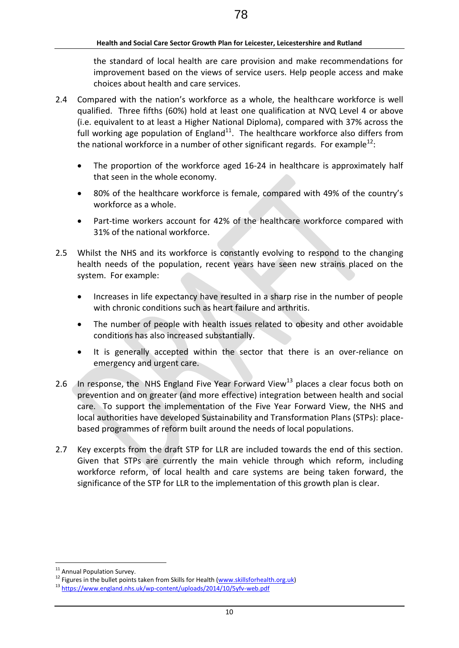the standard of local health are care provision and make recommendations for improvement based on the views of service users. Help people access and make choices about health and care services.

- 2.4 Compared with the nation's workforce as a whole, the healthcare workforce is well qualified. Three fifths (60%) hold at least one qualification at NVQ Level 4 or above (i.e. equivalent to at least a Higher National Diploma), compared with 37% across the full working age population of England $^{11}$ . The healthcare workforce also differs from the national workforce in a number of other significant regards. For example<sup>12</sup>:
	- The proportion of the workforce aged 16-24 in healthcare is approximately half that seen in the whole economy.
	- 80% of the healthcare workforce is female, compared with 49% of the country's workforce as a whole.
	- Part-time workers account for 42% of the healthcare workforce compared with 31% of the national workforce.
- 2.5 Whilst the NHS and its workforce is constantly evolving to respond to the changing health needs of the population, recent years have seen new strains placed on the system. For example:
	- Increases in life expectancy have resulted in a sharp rise in the number of people with chronic conditions such as heart failure and arthritis.
	- The number of people with health issues related to obesity and other avoidable conditions has also increased substantially.
	- It is generally accepted within the sector that there is an over-reliance on emergency and urgent care.
- 2.6 In response, the NHS England Five Year Forward View<sup>13</sup> places a clear focus both on prevention and on greater (and more effective) integration between health and social care. To support the implementation of the Five Year Forward View, the NHS and local authorities have developed Sustainability and Transformation Plans (STPs): placebased programmes of reform built around the needs of local populations.
- 2.7 Key excerpts from the draft STP for LLR are included towards the end of this section. Given that STPs are currently the main vehicle through which reform, including workforce reform, of local health and care systems are being taken forward, the significance of the STP for LLR to the implementation of this growth plan is clear.

<sup>&</sup>lt;sup>11</sup> Annual Population Survey.

 $12$  Figures in the bullet points taken from Skills for Health [\(www.skillsforhealth.org.uk\)](http://www.skillsforhealth.org.uk/)

<sup>13</sup> <https://www.england.nhs.uk/wp-content/uploads/2014/10/5yfv-web.pdf>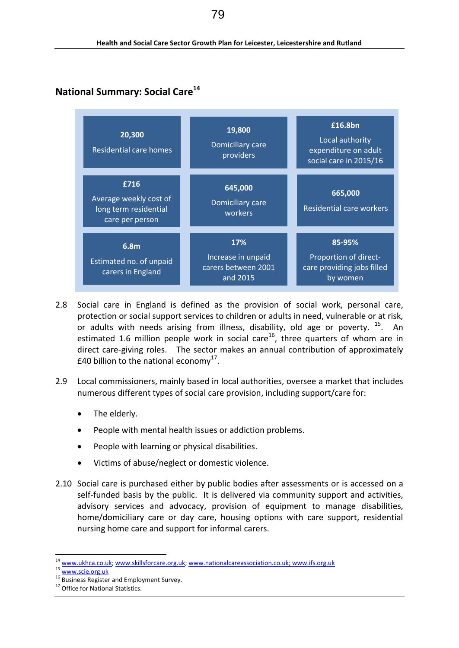# **National Summary: Social Care<sup>14</sup>**



- 2.8 Social care in England is defined as the provision of [social work,](https://en.wikipedia.org/wiki/Social_work) [personal care,](https://en.wikipedia.org/wiki/Personal_care) [protection](https://en.wikipedia.org/w/index.php?title=Protection_service&action=edit&redlink=1) or [social support](https://en.wikipedia.org/wiki/Social_support) services to children or adults in need, vulnerable or at risk, or adults with needs arising from illness, disability, old age or poverty. <sup>15</sup>. An estimated 1.6 million people work in social care<sup>16</sup>, three quarters of whom are in direct care-giving roles. The sector makes an annual contribution of approximately £40 billion to the national economy<sup>17</sup>.
- 2.9 Local commissioners, mainly based in local authorities, oversee a market that includes numerous different types of social care provision, including support/care for:
	- The elderly.
	- People with mental health issues or addiction problems.
	- People with learning or physical disabilities.
	- Victims of abuse/neglect or domestic violence.
- 2.10 Social care is purchased either by public bodies after assessments or is accessed on a self-funded basis by the public. It is delivered via community support and activities, advisory services and advocacy, provision of equipment to manage disabilities, home/domiciliary care or day care, housing options with care support, residential nursing home care and support for [informal carers.](https://en.wikipedia.org/w/index.php?title=Informal_carer&action=edit&redlink=1)

<sup>&</sup>lt;sup>14</sup> [www.ukhca.co.uk;](http://www.ukhca.co.uk/) [www.skillsforcare.org.uk;](http://www.skillsforcare.org.uk/) [www.nationalcareassociation.co.uk;](http://www.nationalcareassociation.co.uk/) www.ifs.org.uk

<sup>15</sup> [www.scie.org.uk](http://www.scie.org.uk/)

<sup>16</sup> Business Register and Employment Survey.

<sup>&</sup>lt;sup>17</sup> Office for National Statistics.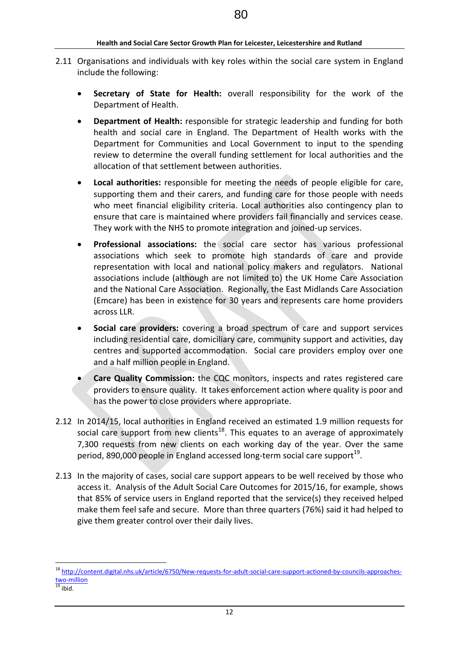- 2.11 Organisations and individuals with key roles within the social care system in England include the following:
	- **Secretary of State for Health:** overall responsibility for the work of the Department of Health.
	- **Department of Health:** responsible for strategic leadership and funding for both health and social care in England. The Department of Health works with the Department for Communities and Local Government to input to the spending review to determine the overall funding settlement for local authorities and the allocation of that settlement between authorities.
	- **Local authorities:** responsible for meeting the needs of people eligible for care, supporting them and their carers, and funding care for those people with needs who meet financial eligibility criteria. Local authorities also contingency plan to ensure that care is maintained where providers fail financially and services cease. They work with the NHS to promote integration and joined-up services.
	- **Professional associations:** the social care sector has various professional associations which seek to promote high standards of care and provide representation with local and national policy makers and regulators. National associations include (although are not limited to) the UK Home Care Association and the National Care Association. Regionally, the East Midlands Care Association (Emcare) has been in existence for 30 years and represents care home providers across LLR.
	- **Social care providers:** covering a broad spectrum of care and support services including residential care, domiciliary care, community support and activities, day centres and supported accommodation. Social care providers employ over one and a half million people in England.
	- **Care Quality Commission:** the CQC monitors, inspects and rates registered care providers to ensure quality. It takes enforcement action where quality is poor and has the power to close providers where appropriate.
- 2.12 In 2014/15, local authorities in England received an estimated 1.9 million requests for social care support from new clients<sup>18</sup>. This equates to an average of approximately 7,300 requests from new clients on each working day of the year. Over the same period, 890,000 people in England accessed long-term social care support<sup>19</sup>.
- 2.13 In the majority of cases, social care support appears to be well received by those who access it. Analysis of the Adult Social Care Outcomes for 2015/16, for example, shows that 85% of service users in England reported that the service(s) they received helped make them feel safe and secure. More than three quarters (76%) said it had helped to give them greater control over their daily lives.

<sup>&</sup>lt;sup>18</sup> [http://content.digital.nhs.uk/article/6750/New-requests-for-adult-social-care-support-actioned-by-councils-approaches](http://content.digital.nhs.uk/article/6750/New-requests-for-adult-social-care-support-actioned-by-councils-approaches-two-million)[two-million](http://content.digital.nhs.uk/article/6750/New-requests-for-adult-social-care-support-actioned-by-councils-approaches-two-million)

 $19$  ibid.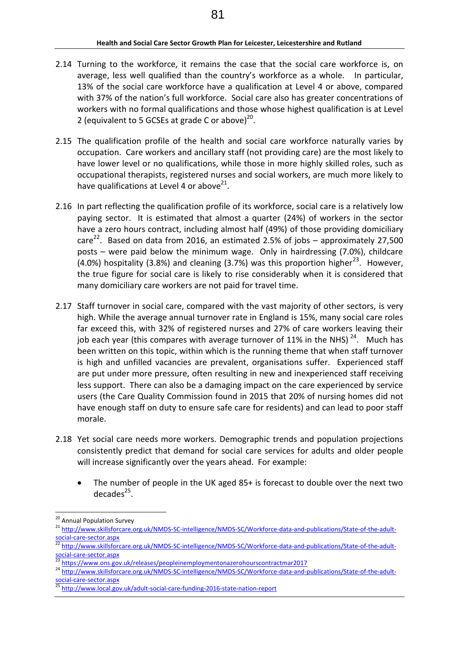- 2.14 Turning to the workforce, it remains the case that the social care workforce is, on average, less well qualified than the country's workforce as a whole. In particular, 13% of the social care workforce have a qualification at Level 4 or above, compared with 37% of the nation's full workforce. Social care also has greater concentrations of workers with no formal qualifications and those whose highest qualification is at Level 2 (equivalent to 5 GCSEs at grade C or above) $^{20}$ .
- 2.15 The qualification profile of the health and social care workforce naturally varies by occupation. Care workers and ancillary staff (not providing care) are the most likely to have lower level or no qualifications, while those in more highly skilled roles, such as occupational therapists, registered nurses and social workers, are much more likely to have qualifications at Level 4 or above<sup>21</sup>.
- 2.16 In part reflecting the qualification profile of its workforce, social care is a relatively low paying sector. It is estimated that almost a quarter (24%) of workers in the sector have a zero hours contract, including almost half (49%) of those providing domiciliary care<sup>22</sup>. Based on data from 2016, an estimated 2.5% of jobs – approximately 27,500 posts – were paid below the minimum wage. Only in hairdressing (7.0%), childcare (4.0%) hospitality (3.8%) and cleaning (3.7%) was this proportion higher<sup>23</sup>. However, the true figure for social care is likely to rise considerably when it is considered that many domiciliary care workers are not paid for travel time.
- 2.17 Staff turnover in social care, compared with the vast majority of other sectors, is very high. While the average annual turnover rate in England is 15%, many social care roles far exceed this, with 32% of registered nurses and 27% of care workers leaving their job each year (this compares with average turnover of 11% in the NHS)<sup>24</sup>. Much has been written on this topic, within which is the running theme that when staff turnover is high and unfilled vacancies are prevalent, organisations suffer. Experienced staff are put under more pressure, often resulting in new and inexperienced staff receiving less support. There can also be a damaging impact on the care experienced by service users (the Care Quality Commission found in 2015 that 20% of nursing homes did not have enough staff on duty to ensure safe care for residents) and can lead to poor staff morale.
- 2.18 Yet social care needs more workers. Demographic trends and population projections consistently predict that demand for social care services for adults and older people will increase significantly over the years ahead. For example:
	- The number of people in the UK aged 85+ is forecast to double over the next two  $decades<sup>25</sup>$ .

<sup>-</sup><sup>20</sup> Annual Population Survey

<sup>&</sup>lt;sup>21</sup> [http://www.skillsforcare.org.uk/NMDS-SC-intelligence/NMDS-SC/Workforce-data-and-publications/State-of-the-adult](http://www.skillsforcare.org.uk/NMDS-SC-intelligence/NMDS-SC/Workforce-data-and-publications/State-of-the-adult-social-care-sector.aspx)[social-care-sector.aspx](http://www.skillsforcare.org.uk/NMDS-SC-intelligence/NMDS-SC/Workforce-data-and-publications/State-of-the-adult-social-care-sector.aspx)

<sup>22</sup> [http://www.skillsforcare.org.uk/NMDS-SC-intelligence/NMDS-SC/Workforce-data-and-publications/State-of-the-adult](http://www.skillsforcare.org.uk/NMDS-SC-intelligence/NMDS-SC/Workforce-data-and-publications/State-of-the-adult-social-care-sector.aspx)[social-care-sector.aspx](http://www.skillsforcare.org.uk/NMDS-SC-intelligence/NMDS-SC/Workforce-data-and-publications/State-of-the-adult-social-care-sector.aspx)

<sup>23</sup> <https://www.ons.gov.uk/releases/peopleinemploymentonazerohourscontractmar2017>

<sup>&</sup>lt;sup>24</sup> [http://www.skillsforcare.org.uk/NMDS-SC-intelligence/NMDS-SC/Workforce-data-and-publications/State-of-the-adult](http://www.skillsforcare.org.uk/NMDS-SC-intelligence/NMDS-SC/Workforce-data-and-publications/State-of-the-adult-social-care-sector.aspx)[social-care-sector.aspx](http://www.skillsforcare.org.uk/NMDS-SC-intelligence/NMDS-SC/Workforce-data-and-publications/State-of-the-adult-social-care-sector.aspx)

<sup>25</sup> <http://www.local.gov.uk/adult-social-care-funding-2016-state-nation-report>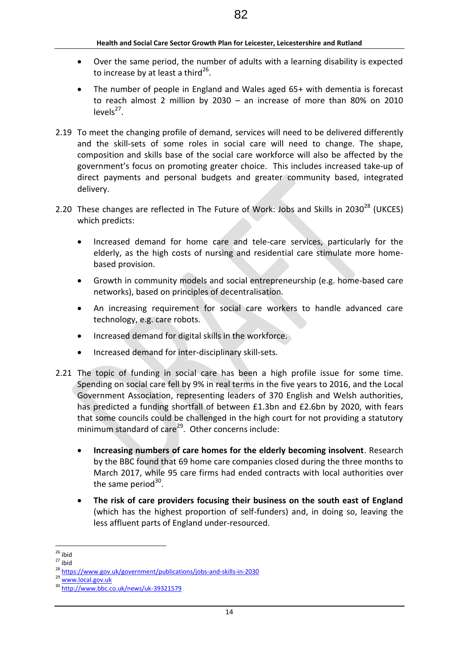- Over the same period, the number of adults with a learning disability is expected to increase by at least a third<sup>26</sup>.
- The number of people in England and Wales aged 65+ with dementia is forecast to reach almost 2 million by 2030 – an increase of more than 80% on 2010  $levels<sup>27</sup>$ .
- 2.19 To meet the changing profile of demand, services will need to be delivered differently and the skill-sets of some roles in social care will need to change. The shape, composition and skills base of the social care workforce will also be affected by the government's focus on promoting greater choice. This includes increased take-up of direct payments and personal budgets and greater community based, integrated delivery.
- 2.20 These changes are reflected in The Future of Work: Jobs and Skills in 2030<sup>28</sup> (UKCES) which predicts:
	- Increased demand for home care and tele-care services, particularly for the elderly, as the high costs of nursing and residential care stimulate more homebased provision.
	- Growth in community models and social entrepreneurship (e.g. home-based care networks), based on principles of decentralisation.
	- An increasing requirement for social care workers to handle advanced care technology, e.g. care robots.
	- Increased demand for digital skills in the workforce.
	- Increased demand for inter-disciplinary skill-sets.
- 2.21 The topic of funding in social care has been a high profile issue for some time. Spending on social care fell by 9% in real terms in the five years to 2016, and the Local Government Association, representing leaders of 370 English and Welsh authorities, has predicted a funding shortfall of between £1.3bn and £2.6bn by 2020, with fears that some councils could be challenged in the high court for not providing a statutory minimum standard of care<sup>29</sup>. Other concerns include:
	- **Increasing numbers of care homes for the elderly becoming insolvent**. Research by the BBC found that 69 home care companies closed during the three months to March 2017, while 95 care firms had ended contracts with local authorities over the same period<sup>30</sup>.
	- **The risk of care providers focusing their business on the south east of England** (which has the highest proportion of self-funders) and, in doing so, leaving the less affluent parts of England under-resourced.

<sup>&</sup>lt;u>.</u>  $26$  ibid

 $27$  ibid

<sup>28</sup> <https://www.gov.uk/government/publications/jobs-and-skills-in-2030>

<sup>29</sup> [www.local.gov.uk](http://www.local.gov.uk/)

<sup>30</sup> <http://www.bbc.co.uk/news/uk-39321579>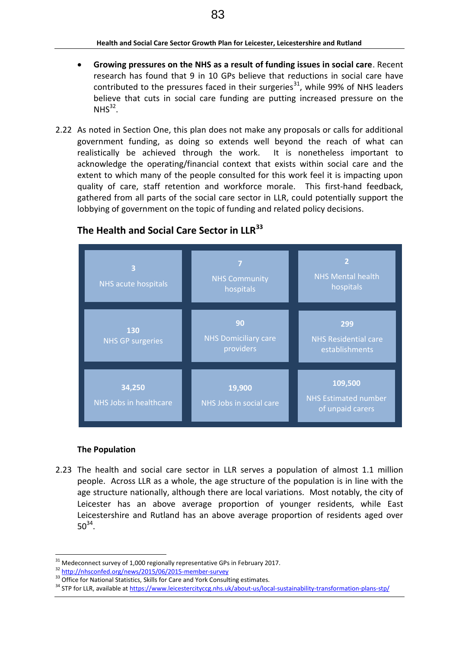- **Growing pressures on the NHS as a result of funding issues in social care**. Recent research has found that 9 in 10 GPs believe that reductions in social care have contributed to the pressures faced in their surgeries<sup>31</sup>, while 99% of NHS leaders believe that cuts in social care funding are putting increased pressure on the  $NHS<sup>32</sup>$ .
- 2.22 As noted in Section One, this plan does not make any proposals or calls for additional government funding, as doing so extends well beyond the reach of what can realistically be achieved through the work. It is nonetheless important to acknowledge the operating/financial context that exists within social care and the extent to which many of the people consulted for this work feel it is impacting upon quality of care, staff retention and workforce morale. This first-hand feedback, gathered from all parts of the social care sector in LLR, could potentially support the lobbying of government on the topic of funding and related policy decisions.



# **The Health and Social Care Sector in LLR<sup>33</sup>**

#### **The Population**

<u>.</u>

2.23 The health and social care sector in LLR serves a population of almost 1.1 million people. Across LLR as a whole, the age structure of the population is in line with the age structure nationally, although there are local variations. Most notably, the city of Leicester has an above average proportion of younger residents, while East Leicestershire and Rutland has an above average proportion of residents aged over  $50^{34}$ .

 $31$  Medeconnect survey of 1,000 regionally representative GPs in February 2017.

<sup>32</sup> <http://nhsconfed.org/news/2015/06/2015-member-survey>

<sup>&</sup>lt;sup>33</sup> Office for National Statistics, Skills for Care and York Consulting estimates.

<sup>&</sup>lt;sup>34</sup> STP for LLR, available a[t https://www.leicestercityccg.nhs.uk/about-us/local-sustainability-transformation-plans-stp/](https://www.leicestercityccg.nhs.uk/about-us/local-sustainability-transformation-plans-stp/)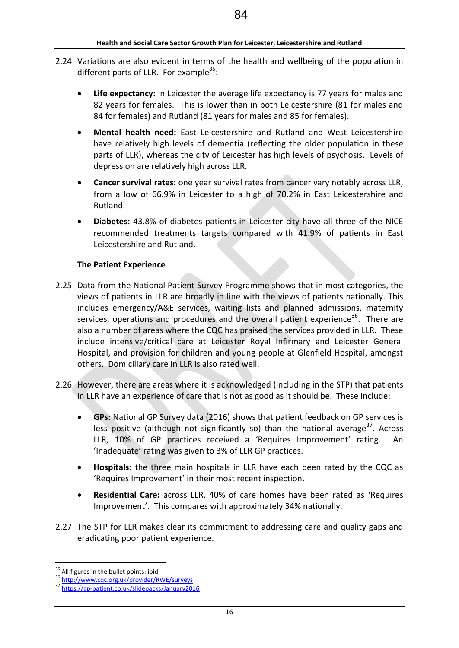- 2.24 Variations are also evident in terms of the health and wellbeing of the population in different parts of LLR. For example<sup>35</sup>:
	- **Life expectancy:** in Leicester the average life expectancy is 77 years for males and 82 years for females. This is lower than in both Leicestershire (81 for males and 84 for females) and Rutland (81 years for males and 85 for females).
	- **Mental health need:** East Leicestershire and Rutland and West Leicestershire have relatively high levels of dementia (reflecting the older population in these parts of LLR), whereas the city of Leicester has high levels of psychosis. Levels of depression are relatively high across LLR.
	- **Cancer survival rates:** one year survival rates from cancer vary notably across LLR, from a low of 66.9% in Leicester to a high of 70.2% in East Leicestershire and Rutland.
	- **Diabetes:** 43.8% of diabetes patients in Leicester city have all three of the NICE recommended treatments targets compared with 41.9% of patients in East Leicestershire and Rutland.

## **The Patient Experience**

- 2.25 Data from the National Patient Survey Programme shows that in most categories, the views of patients in LLR are broadly in line with the views of patients nationally. This includes emergency/A&E services, waiting lists and planned admissions, maternity services, operations and procedures and the overall patient experience<sup>36</sup>. There are also a number of areas where the CQC has praised the services provided in LLR. These include intensive/critical care at Leicester Royal Infirmary and Leicester General Hospital, and provision for children and young people at Glenfield Hospital, amongst others. Domiciliary care in LLR is also rated well.
- 2.26 However, there are areas where it is acknowledged (including in the STP) that patients in LLR have an experience of care that is not as good as it should be. These include:
	- **GPs:** National GP Survey data (2016) shows that patient feedback on GP services is less positive (although not significantly so) than the national average<sup>37</sup>. Across LLR, 10% of GP practices received a 'Requires Improvement' rating. An 'Inadequate' rating was given to 3% of LLR GP practices.
	- **Hospitals:** the three main hospitals in LLR have each been rated by the CQC as 'Requires Improvement' in their most recent inspection.
	- **Residential Care:** across LLR, 40% of care homes have been rated as 'Requires Improvement'. This compares with approximately 34% nationally.
- 2.27 The STP for LLR makes clear its commitment to addressing care and quality gaps and eradicating poor patient experience.

<sup>&</sup>lt;u>.</u> <sup>35</sup> All figures in the bullet points: ibid

<sup>36</sup> <http://www.cqc.org.uk/provider/RWE/surveys>

<sup>37</sup> <https://gp-patient.co.uk/slidepacks/January2016>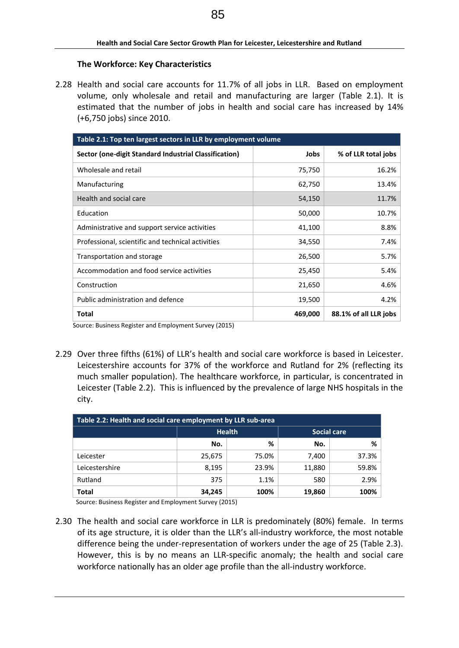#### **The Workforce: Key Characteristics**

2.28 Health and social care accounts for 11.7% of all jobs in LLR. Based on employment volume, only wholesale and retail and manufacturing are larger (Table 2.1). It is estimated that the number of jobs in health and social care has increased by 14% (+6,750 jobs) since 2010.

| Table 2.1: Top ten largest sectors in LLR by employment volume |         |                       |  |
|----------------------------------------------------------------|---------|-----------------------|--|
| Sector (one-digit Standard Industrial Classification)          | Jobs    | % of LLR total jobs   |  |
| Wholesale and retail                                           | 75,750  | 16.2%                 |  |
| Manufacturing                                                  | 62,750  | 13.4%                 |  |
| Health and social care                                         | 54,150  | 11.7%                 |  |
| Education                                                      | 50,000  | 10.7%                 |  |
| Administrative and support service activities                  | 41,100  | 8.8%                  |  |
| Professional, scientific and technical activities              | 34,550  | 7.4%                  |  |
| Transportation and storage                                     | 26,500  | 5.7%                  |  |
| Accommodation and food service activities                      | 25,450  | 5.4%                  |  |
| Construction                                                   | 21,650  | 4.6%                  |  |
| Public administration and defence                              | 19,500  | 4.2%                  |  |
| Total                                                          | 469,000 | 88.1% of all LLR jobs |  |

Source: Business Register and Employment Survey (2015)

2.29 Over three fifths (61%) of LLR's health and social care workforce is based in Leicester. Leicestershire accounts for 37% of the workforce and Rutland for 2% (reflecting its much smaller population). The healthcare workforce, in particular, is concentrated in Leicester (Table 2.2). This is influenced by the prevalence of large NHS hospitals in the city.

| Table 2.2: Health and social care employment by LLR sub-area |        |               |             |       |  |
|--------------------------------------------------------------|--------|---------------|-------------|-------|--|
|                                                              |        | <b>Health</b> | Social care |       |  |
|                                                              | No.    | %             | No.         | %     |  |
| Leicester                                                    | 25,675 | 75.0%         | 7,400       | 37.3% |  |
| Leicestershire                                               | 8,195  | 23.9%         | 11,880      | 59.8% |  |
| Rutland                                                      | 375    | 1.1%          | 580         | 2.9%  |  |
| Total                                                        | 34,245 | 100%          | 19,860      | 100%  |  |

Source: Business Register and Employment Survey (2015)

2.30 The health and social care workforce in LLR is predominately (80%) female. In terms of its age structure, it is older than the LLR's all-industry workforce, the most notable difference being the under-representation of workers under the age of 25 (Table 2.3). However, this is by no means an LLR-specific anomaly; the health and social care workforce nationally has an older age profile than the all-industry workforce.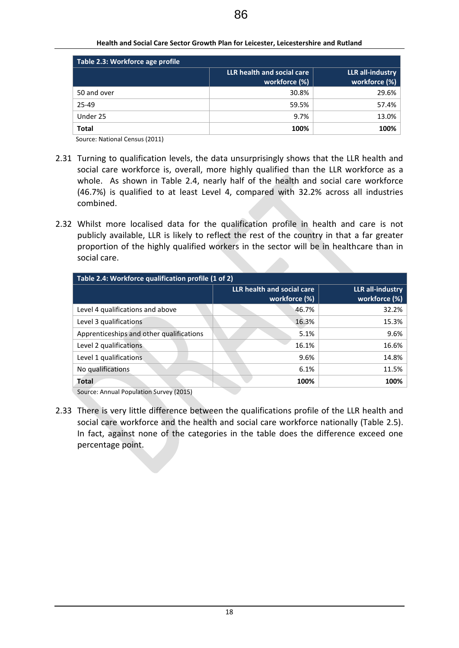| Table 2.3: Workforce age profile |                                             |                                   |  |
|----------------------------------|---------------------------------------------|-----------------------------------|--|
|                                  | LLR health and social care<br>workforce (%) | LLR all-industry<br>workforce (%) |  |
| 50 and over                      | 30.8%                                       | 29.6%                             |  |
| 25-49                            | 59.5%                                       | 57.4%                             |  |
| Under 25                         | 9.7%                                        | 13.0%                             |  |
| <b>Total</b>                     | 100%                                        | 100%                              |  |

Source: National Census (2011)

- 2.31 Turning to qualification levels, the data unsurprisingly shows that the LLR health and social care workforce is, overall, more highly qualified than the LLR workforce as a whole. As shown in Table 2.4, nearly half of the health and social care workforce (46.7%) is qualified to at least Level 4, compared with 32.2% across all industries combined.
- 2.32 Whilst more localised data for the qualification profile in health and care is not publicly available, LLR is likely to reflect the rest of the country in that a far greater proportion of the highly qualified workers in the sector will be in healthcare than in social care.

| Table 2.4: Workforce qualification profile (1 of 2) |                                             |                                   |  |  |
|-----------------------------------------------------|---------------------------------------------|-----------------------------------|--|--|
|                                                     | LLR health and social care<br>workforce (%) | LLR all-industry<br>workforce (%) |  |  |
| Level 4 qualifications and above                    | 46.7%                                       | 32.2%                             |  |  |
| Level 3 qualifications                              | 16.3%                                       | 15.3%                             |  |  |
| Apprenticeships and other qualifications            | 5.1%                                        | 9.6%                              |  |  |
| Level 2 qualifications                              | 16.1%                                       | 16.6%                             |  |  |
| Level 1 qualifications                              | 9.6%                                        | 14.8%                             |  |  |
| No qualifications                                   | 6.1%                                        | 11.5%                             |  |  |
| <b>Total</b>                                        | 100%                                        | 100%                              |  |  |

Source: Annual Population Survey (2015)

2.33 There is very little difference between the qualifications profile of the LLR health and social care workforce and the health and social care workforce nationally (Table 2.5). In fact, against none of the categories in the table does the difference exceed one percentage point.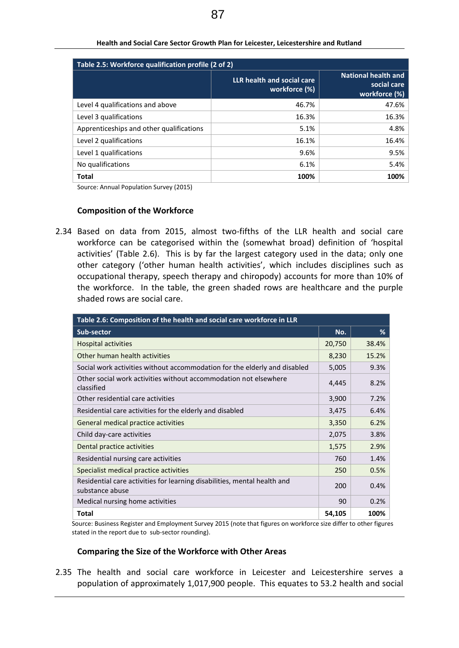| Table 2.5: Workforce qualification profile (2 of 2) |                                             |                                                            |  |
|-----------------------------------------------------|---------------------------------------------|------------------------------------------------------------|--|
|                                                     | LLR health and social care<br>workforce (%) | <b>National health and</b><br>social care<br>workforce (%) |  |
| Level 4 qualifications and above                    | 46.7%                                       | 47.6%                                                      |  |
| Level 3 qualifications                              | 16.3%                                       | 16.3%                                                      |  |
| Apprenticeships and other qualifications            | 5.1%                                        | 4.8%                                                       |  |
| Level 2 qualifications                              | 16.1%                                       | 16.4%                                                      |  |
| Level 1 qualifications                              | 9.6%                                        | 9.5%                                                       |  |
| No qualifications                                   | 6.1%                                        | 5.4%                                                       |  |
| <b>Total</b>                                        | 100%                                        | 100%                                                       |  |

**Health and Social Care Sector Growth Plan for Leicester, Leicestershire and Rutland**

Source: Annual Population Survey (2015)

#### **Composition of the Workforce**

2.34 Based on data from 2015, almost two-fifths of the LLR health and social care workforce can be categorised within the (somewhat broad) definition of 'hospital activities' (Table 2.6). This is by far the largest category used in the data; only one other category ('other human health activities', which includes disciplines such as occupational therapy, speech therapy and chiropody) accounts for more than 10% of the workforce. In the table, the green shaded rows are healthcare and the purple shaded rows are social care.

| Table 2.6: Composition of the health and social care workforce in LLR                       |        |       |  |
|---------------------------------------------------------------------------------------------|--------|-------|--|
| Sub-sector                                                                                  | No.    | %     |  |
| <b>Hospital activities</b>                                                                  | 20,750 | 38.4% |  |
| Other human health activities                                                               | 8,230  | 15.2% |  |
| Social work activities without accommodation for the elderly and disabled                   | 5,005  | 9.3%  |  |
| Other social work activities without accommodation not elsewhere<br>classified              | 4,445  | 8.2%  |  |
| Other residential care activities                                                           | 3,900  | 7.2%  |  |
| Residential care activities for the elderly and disabled                                    | 3,475  | 6.4%  |  |
| General medical practice activities                                                         | 3,350  | 6.2%  |  |
| Child day-care activities                                                                   | 2,075  | 3.8%  |  |
| Dental practice activities                                                                  | 1,575  | 2.9%  |  |
| Residential nursing care activities                                                         | 760    | 1.4%  |  |
| Specialist medical practice activities                                                      | 250    | 0.5%  |  |
| Residential care activities for learning disabilities, mental health and<br>substance abuse | 200    | 0.4%  |  |
| Medical nursing home activities                                                             | 90     | 0.2%  |  |
| <b>Total</b>                                                                                | 54,105 | 100%  |  |

Source: Business Register and Employment Survey 2015 (note that figures on workforce size differ to other figures stated in the report due to sub-sector rounding).

#### **Comparing the Size of the Workforce with Other Areas**

2.35 The health and social care workforce in Leicester and Leicestershire serves a population of approximately 1,017,900 people. This equates to 53.2 health and social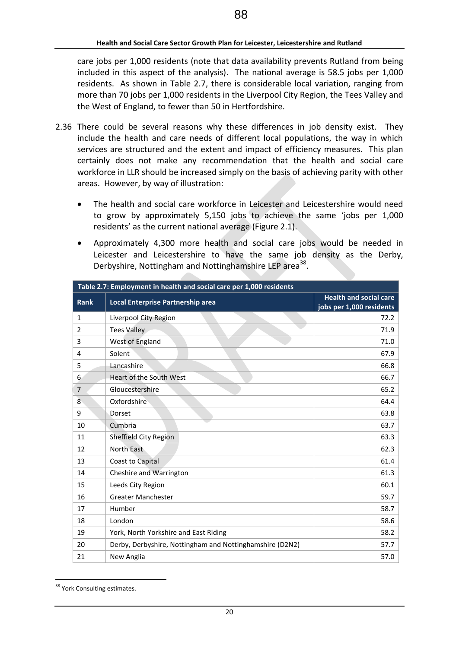care jobs per 1,000 residents (note that data availability prevents Rutland from being included in this aspect of the analysis). The national average is 58.5 jobs per 1,000 residents. As shown in Table 2.7, there is considerable local variation, ranging from more than 70 jobs per 1,000 residents in the Liverpool City Region, the Tees Valley and the West of England, to fewer than 50 in Hertfordshire.

- 2.36 There could be several reasons why these differences in job density exist. They include the health and care needs of different local populations, the way in which services are structured and the extent and impact of efficiency measures. This plan certainly does not make any recommendation that the health and social care workforce in LLR should be increased simply on the basis of achieving parity with other areas. However, by way of illustration:
	- The health and social care workforce in Leicester and Leicestershire would need to grow by approximately 5,150 jobs to achieve the same 'jobs per 1,000 residents' as the current national average (Figure 2.1).
	- Approximately 4,300 more health and social care jobs would be needed in Leicester and Leicestershire to have the same job density as the Derby, Derbyshire, Nottingham and Nottinghamshire LEP area<sup>38</sup>.

| Table 2.7: Employment in health and social care per 1,000 residents |                                                          |                                                           |
|---------------------------------------------------------------------|----------------------------------------------------------|-----------------------------------------------------------|
| <b>Rank</b>                                                         | Local Enterprise Partnership area                        | <b>Health and social care</b><br>jobs per 1,000 residents |
| 1                                                                   | Liverpool City Region                                    | 72.2                                                      |
| 2                                                                   | <b>Tees Valley</b>                                       | 71.9                                                      |
| 3                                                                   | West of England                                          | 71.0                                                      |
| 4                                                                   | Solent                                                   | 67.9                                                      |
| 5                                                                   | Lancashire                                               | 66.8                                                      |
| 6                                                                   | Heart of the South West                                  | 66.7                                                      |
| 7                                                                   | Gloucestershire                                          | 65.2                                                      |
| 8                                                                   | Oxfordshire                                              | 64.4                                                      |
| 9                                                                   | Dorset                                                   | 63.8                                                      |
| 10                                                                  | Cumbria                                                  | 63.7                                                      |
| 11                                                                  | Sheffield City Region                                    | 63.3                                                      |
| 12                                                                  | North East                                               | 62.3                                                      |
| 13                                                                  | Coast to Capital                                         | 61.4                                                      |
| 14                                                                  | Cheshire and Warrington                                  | 61.3                                                      |
| 15                                                                  | Leeds City Region                                        | 60.1                                                      |
| 16                                                                  | <b>Greater Manchester</b>                                | 59.7                                                      |
| 17                                                                  | Humber                                                   | 58.7                                                      |
| 18                                                                  | London                                                   | 58.6                                                      |
| 19                                                                  | York, North Yorkshire and East Riding                    | 58.2                                                      |
| 20                                                                  | Derby, Derbyshire, Nottingham and Nottinghamshire (D2N2) | 57.7                                                      |
| 21                                                                  | New Anglia                                               | 57.0                                                      |

<sup>&</sup>lt;u>.</u> <sup>38</sup> York Consulting estimates.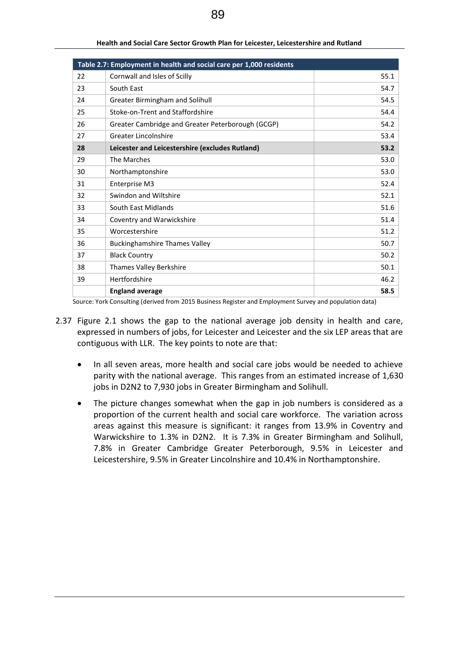|    | Table 2.7: Employment in health and social care per 1,000 residents |      |
|----|---------------------------------------------------------------------|------|
| 22 | Cornwall and Isles of Scilly                                        | 55.1 |
| 23 | South East                                                          | 54.7 |
| 24 | Greater Birmingham and Solihull                                     | 54.5 |
| 25 | Stoke-on-Trent and Staffordshire                                    | 54.4 |
| 26 | Greater Cambridge and Greater Peterborough (GCGP)                   | 54.2 |
| 27 | Greater Lincolnshire                                                | 53.4 |
| 28 | Leicester and Leicestershire (excludes Rutland)                     | 53.2 |
| 29 | The Marches                                                         | 53.0 |
| 30 | Northamptonshire                                                    | 53.0 |
| 31 | Enterprise M3                                                       | 52.4 |
| 32 | Swindon and Wiltshire                                               | 52.1 |
| 33 | South East Midlands                                                 | 51.6 |
| 34 | Coventry and Warwickshire                                           | 51.4 |
| 35 | Worcestershire                                                      | 51.2 |
| 36 | <b>Buckinghamshire Thames Valley</b>                                | 50.7 |
| 37 | <b>Black Country</b>                                                | 50.2 |
| 38 | Thames Valley Berkshire                                             | 50.1 |
| 39 | Hertfordshire                                                       | 46.2 |
|    | <b>England average</b>                                              | 58.5 |

**Health and Social Care Sector Growth Plan for Leicester, Leicestershire and Rutland**

Source: York Consulting (derived from 2015 Business Register and Employment Survey and population data)

- 2.37 Figure 2.1 shows the gap to the national average job density in health and care, expressed in numbers of jobs, for Leicester and Leicester and the six LEP areas that are contiguous with LLR. The key points to note are that:
	- In all seven areas, more health and social care jobs would be needed to achieve parity with the national average. This ranges from an estimated increase of 1,630 jobs in D2N2 to 7,930 jobs in Greater Birmingham and Solihull.
	- The picture changes somewhat when the gap in job numbers is considered as a proportion of the current health and social care workforce. The variation across areas against this measure is significant: it ranges from 13.9% in Coventry and Warwickshire to 1.3% in D2N2. It is 7.3% in Greater Birmingham and Solihull, 7.8% in Greater Cambridge Greater Peterborough, 9.5% in Leicester and Leicestershire, 9.5% in Greater Lincolnshire and 10.4% in Northamptonshire.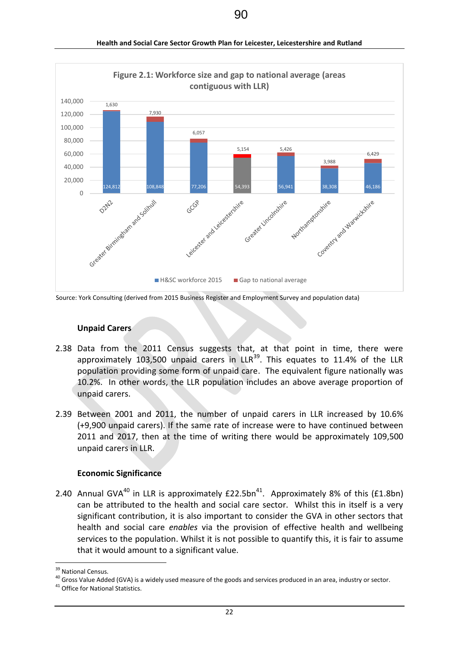

**Health and Social Care Sector Growth Plan for Leicester, Leicestershire and Rutland**

Source: York Consulting (derived from 2015 Business Register and Employment Survey and population data)

#### **Unpaid Carers**

- 2.38 Data from the 2011 Census suggests that, at that point in time, there were approximately 103,500 unpaid carers in  $LR^{39}$ . This equates to 11.4% of the LLR population providing some form of unpaid care. The equivalent figure nationally was 10.2%. In other words, the LLR population includes an above average proportion of unpaid carers.
- 2.39 Between 2001 and 2011, the number of unpaid carers in LLR increased by 10.6% (+9,900 unpaid carers). If the same rate of increase were to have continued between 2011 and 2017, then at the time of writing there would be approximately 109,500 unpaid carers in LLR.

#### **Economic Significance**

2.40 Annual GVA<sup>40</sup> in LLR is approximately  $£22.5bn<sup>41</sup>$ . Approximately 8% of this (£1.8bn) can be attributed to the health and social care sector. Whilst this in itself is a very significant contribution, it is also important to consider the GVA in other sectors that health and social care *enables* via the provision of effective health and wellbeing services to the population. Whilst it is not possible to quantify this, it is fair to assume that it would amount to a significant value.

<sup>&</sup>lt;sup>39</sup> National Census.

<sup>40</sup> Gross Value Added (GVA) is a widely used measure of the goods and services produced in an area, industry or sector.

<sup>&</sup>lt;sup>41</sup> Office for National Statistics.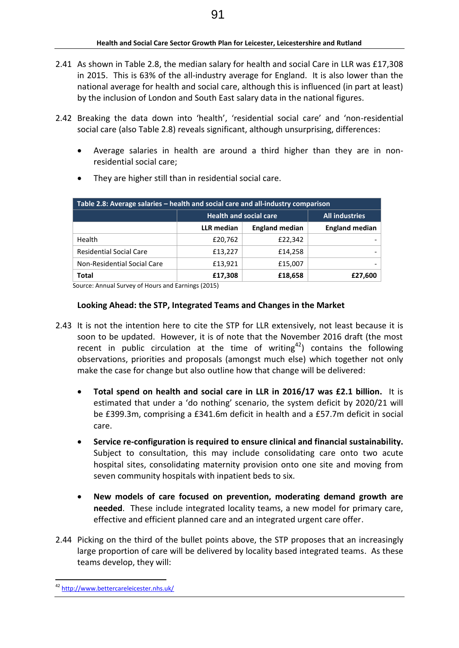- 2.41 As shown in Table 2.8, the median salary for health and social Care in LLR was £17,308 in 2015. This is 63% of the all-industry average for England. It is also lower than the national average for health and social care, although this is influenced (in part at least) by the inclusion of London and South East salary data in the national figures.
- 2.42 Breaking the data down into 'health', 'residential social care' and 'non-residential social care (also Table 2.8) reveals significant, although unsurprising, differences:
	- Average salaries in health are around a third higher than they are in nonresidential social care;

| Table 2.8: Average salaries – health and social care and all-industry comparison |                               |                       |                       |
|----------------------------------------------------------------------------------|-------------------------------|-----------------------|-----------------------|
|                                                                                  | <b>Health and social care</b> |                       | <b>All industries</b> |
|                                                                                  | <b>LLR</b> median             | <b>England median</b> | <b>England median</b> |
| Health                                                                           | £20,762                       | £22,342               |                       |
| <b>Residential Social Care</b>                                                   | £13,227                       | £14,258               |                       |
| Non-Residential Social Care                                                      | £13,921                       | £15,007               |                       |
| <b>Total</b>                                                                     | £17,308                       | £18,658               | £27,600               |

They are higher still than in residential social care.

Source: Annual Survey of Hours and Earnings (2015)

#### **Looking Ahead: the STP, Integrated Teams and Changes in the Market**

- 2.43 It is not the intention here to cite the STP for LLR extensively, not least because it is soon to be updated. However, it is of note that the November 2016 draft (the most recent in public circulation at the time of writing<sup>42</sup>) contains the following observations, priorities and proposals (amongst much else) which together not only make the case for change but also outline how that change will be delivered:
	- **Total spend on health and social care in LLR in 2016/17 was £2.1 billion.** It is estimated that under a 'do nothing' scenario, the system deficit by 2020/21 will be £399.3m, comprising a £341.6m deficit in health and a £57.7m deficit in social care.
	- **Service re-configuration is required to ensure clinical and financial sustainability.**  Subject to consultation, this may include consolidating care onto two acute hospital sites, consolidating maternity provision onto one site and moving from seven community hospitals with inpatient beds to six.
	- **New models of care focused on prevention, moderating demand growth are needed**. These include integrated locality teams, a new model for primary care, effective and efficient planned care and an integrated urgent care offer.
- 2.44 Picking on the third of the bullet points above, the STP proposes that an increasingly large proportion of care will be delivered by locality based integrated teams. As these teams develop, they will:

<sup>&</sup>lt;u>.</u> <sup>42</sup> <http://www.bettercareleicester.nhs.uk/>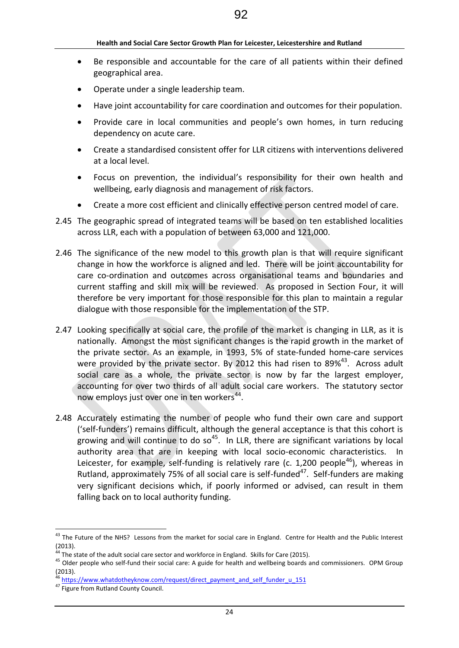- Be responsible and accountable for the care of all patients within their defined geographical area.
- Operate under a single leadership team.
- Have joint accountability for care coordination and outcomes for their population.
- Provide care in local communities and people's own homes, in turn reducing dependency on acute care.
- Create a standardised consistent offer for LLR citizens with interventions delivered at a local level.
- Focus on prevention, the individual's responsibility for their own health and wellbeing, early diagnosis and management of risk factors.
- Create a more cost efficient and clinically effective person centred model of care.
- 2.45 The geographic spread of integrated teams will be based on ten established localities across LLR, each with a population of between 63,000 and 121,000.
- 2.46 The significance of the new model to this growth plan is that will require significant change in how the workforce is aligned and led. There will be joint accountability for care co-ordination and outcomes across organisational teams and boundaries and current staffing and skill mix will be reviewed. As proposed in Section Four, it will therefore be very important for those responsible for this plan to maintain a regular dialogue with those responsible for the implementation of the STP.
- 2.47 Looking specifically at social care, the profile of the market is changing in LLR, as it is nationally. Amongst the most significant changes is the rapid growth in the market of the private sector. As an example, in 1993, 5% of state-funded home-care services were provided by the private sector. By 2012 this had risen to 89%<sup>43</sup>. Across adult social care as a whole, the private sector is now by far the largest employer, accounting for over two thirds of all adult social care workers. The statutory sector now employs just over one in ten workers<sup>44</sup>.
- 2.48 Accurately estimating the number of people who fund their own care and support ('self-funders') remains difficult, although the general acceptance is that this cohort is growing and will continue to do so<sup>45</sup>. In LLR, there are significant variations by local authority area that are in keeping with local socio-economic characteristics. In Leicester, for example, self-funding is relatively rare (c. 1,200 people<sup>46</sup>), whereas in Rutland, approximately 75% of all social care is self-funded<sup>47</sup>. Self-funders are making very significant decisions which, if poorly informed or advised, can result in them falling back on to local authority funding.

<sup>&</sup>lt;sup>43</sup> The Future of the NHS? Lessons from the market for social care in England. Centre for Health and the Public Interest (2013).

 $4$  The state of the adult social care sector and workforce in England. Skills for Care (2015).

<sup>&</sup>lt;sup>45</sup> Older people who self-fund their social care: A guide for health and wellbeing boards and commissioners. OPM Group (2013).

[https://www.whatdotheyknow.com/request/direct\\_payment\\_and\\_self\\_funder\\_u\\_151](https://www.whatdotheyknow.com/request/direct_payment_and_self_funder_u_151)

<sup>&</sup>lt;sup>47</sup> Figure from Rutland County Council.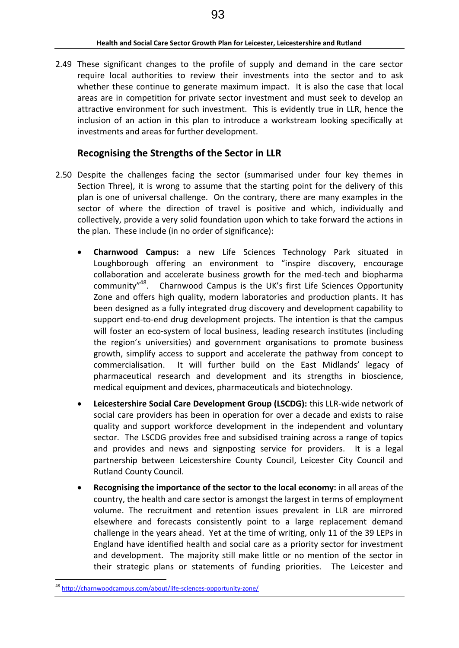2.49 These significant changes to the profile of supply and demand in the care sector require local authorities to review their investments into the sector and to ask whether these continue to generate maximum impact. It is also the case that local areas are in competition for private sector investment and must seek to develop an attractive environment for such investment. This is evidently true in LLR, hence the inclusion of an action in this plan to introduce a workstream looking specifically at investments and areas for further development.

# **Recognising the Strengths of the Sector in LLR**

- 2.50 Despite the challenges facing the sector (summarised under four key themes in Section Three), it is wrong to assume that the starting point for the delivery of this plan is one of universal challenge. On the contrary, there are many examples in the sector of where the direction of travel is positive and which, individually and collectively, provide a very solid foundation upon which to take forward the actions in the plan. These include (in no order of significance):
	- **Charnwood Campus:** a new Life Sciences Technology Park situated in Loughborough offering an environment to "inspire discovery, encourage collaboration and accelerate business growth for the med-tech and biopharma community<sup>"48</sup>. Charnwood Campus is the UK's first Life Sciences Opportunity Zone and offers high quality, modern laboratories and production plants. It has been designed as a fully integrated drug discovery and development capability to support end-to-end drug development projects. The intention is that the campus will foster an eco-system of local business, leading research institutes (including the region's universities) and government organisations to promote business growth, simplify access to support and accelerate the pathway from concept to commercialisation. It will further build on the East Midlands' legacy of pharmaceutical research and development and its strengths in bioscience, medical equipment and devices, pharmaceuticals and biotechnology.
	- **Leicestershire Social Care Development Group (LSCDG):** this LLR-wide network of social care providers has been in operation for over a decade and exists to raise quality and support workforce development in the independent and voluntary sector. The LSCDG provides free and subsidised training across a range of topics and provides and news and signposting service for providers. It is a legal partnership between Leicestershire County Council, Leicester City Council and Rutland County Council.
	- **Recognising the importance of the sector to the local economy:** in all areas of the country, the health and care sector is amongst the largest in terms of employment volume. The recruitment and retention issues prevalent in LLR are mirrored elsewhere and forecasts consistently point to a large replacement demand challenge in the years ahead. Yet at the time of writing, only 11 of the 39 LEPs in England have identified health and social care as a priority sector for investment and development. The majority still make little or no mention of the sector in their strategic plans or statements of funding priorities. The Leicester and

<sup>&</sup>lt;u>.</u> <sup>48</sup> <http://charnwoodcampus.com/about/life-sciences-opportunity-zone/>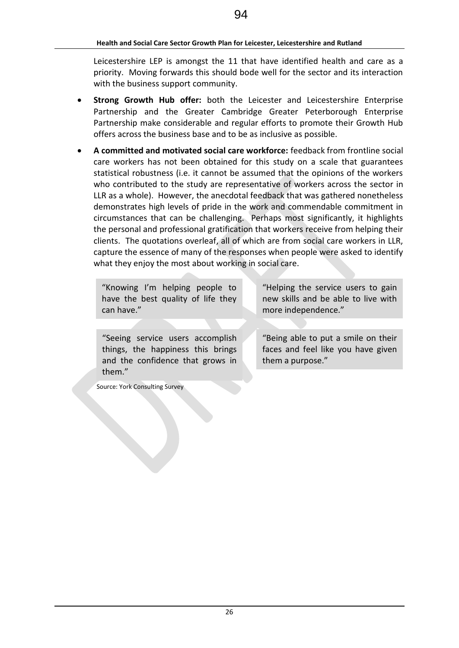Leicestershire LEP is amongst the 11 that have identified health and care as a priority. Moving forwards this should bode well for the sector and its interaction with the business support community.

- **Strong Growth Hub offer:** both the Leicester and Leicestershire Enterprise Partnership and the Greater Cambridge Greater Peterborough Enterprise Partnership make considerable and regular efforts to promote their Growth Hub offers across the business base and to be as inclusive as possible.
- **A committed and motivated social care workforce:** feedback from frontline social care workers has not been obtained for this study on a scale that guarantees statistical robustness (i.e. it cannot be assumed that the opinions of the workers who contributed to the study are representative of workers across the sector in LLR as a whole). However, the anecdotal feedback that was gathered nonetheless demonstrates high levels of pride in the work and commendable commitment in circumstances that can be challenging. Perhaps most significantly, it highlights the personal and professional gratification that workers receive from helping their clients. The quotations overleaf, all of which are from social care workers in LLR, capture the essence of many of the responses when people were asked to identify what they enjoy the most about working in social care.

"Knowing I'm helping people to have the best quality of life they can have."

"Helping the service users to gain new skills and be able to live with more independence."

"Seeing service users accomplish things, the happiness this brings and the confidence that grows in them."

"Being able to put a smile on their faces and feel like you have given them a purpose."

Source: York Consulting Survey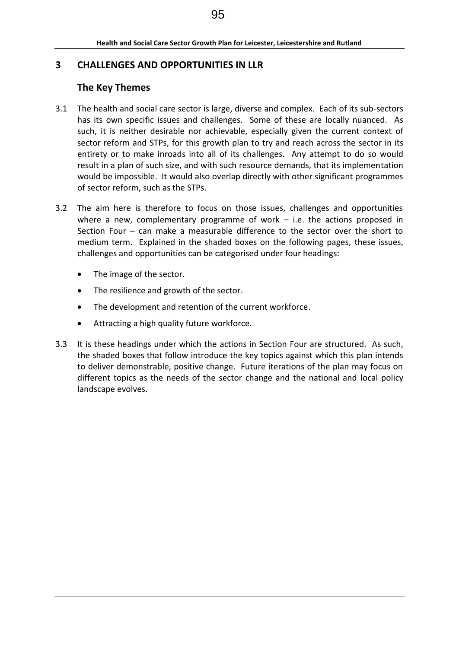# **3 CHALLENGES AND OPPORTUNITIES IN LLR**

# **The Key Themes**

- 3.1 The health and social care sector is large, diverse and complex. Each of its sub-sectors has its own specific issues and challenges. Some of these are locally nuanced. As such, it is neither desirable nor achievable, especially given the current context of sector reform and STPs, for this growth plan to try and reach across the sector in its entirety or to make inroads into all of its challenges. Any attempt to do so would result in a plan of such size, and with such resource demands, that its implementation would be impossible. It would also overlap directly with other significant programmes of sector reform, such as the STPs.
- 3.2 The aim here is therefore to focus on those issues, challenges and opportunities where a new, complementary programme of work  $-$  i.e. the actions proposed in Section Four – can make a measurable difference to the sector over the short to medium term. Explained in the shaded boxes on the following pages, these issues, challenges and opportunities can be categorised under four headings:
	- The image of the sector.
	- The resilience and growth of the sector.
	- The development and retention of the current workforce.
	- Attracting a high quality future workforce.
- 3.3 It is these headings under which the actions in Section Four are structured. As such, the shaded boxes that follow introduce the key topics against which this plan intends to deliver demonstrable, positive change. Future iterations of the plan may focus on different topics as the needs of the sector change and the national and local policy landscape evolves.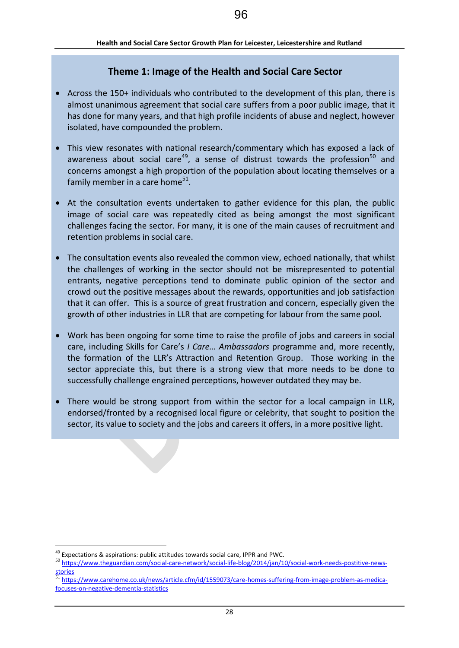# **Theme 1: Image of the Health and Social Care Sector**

- Across the 150+ individuals who contributed to the development of this plan, there is almost unanimous agreement that social care suffers from a poor public image, that it has done for many years, and that high profile incidents of abuse and neglect, however isolated, have compounded the problem.
- This view resonates with national research/commentary which has exposed a lack of awareness about social care<sup>49</sup>, a sense of distrust towards the profession<sup>50</sup> and concerns amongst a high proportion of the population about locating themselves or a family member in a care home<sup>51</sup>.
- At the consultation events undertaken to gather evidence for this plan, the public image of social care was repeatedly cited as being amongst the most significant challenges facing the sector. For many, it is one of the main causes of recruitment and retention problems in social care.
- The consultation events also revealed the common view, echoed nationally, that whilst the challenges of working in the sector should not be misrepresented to potential entrants, negative perceptions tend to dominate public opinion of the sector and crowd out the positive messages about the rewards, opportunities and job satisfaction that it can offer. This is a source of great frustration and concern, especially given the growth of other industries in LLR that are competing for labour from the same pool.
- Work has been ongoing for some time to raise the profile of jobs and careers in social care, including Skills for Care's *I Care… Ambassadors* programme and, more recently, the formation of the LLR's Attraction and Retention Group. Those working in the sector appreciate this, but there is a strong view that more needs to be done to successfully challenge engrained perceptions, however outdated they may be.
- There would be strong support from within the sector for a local campaign in LLR, endorsed/fronted by a recognised local figure or celebrity, that sought to position the sector, its value to society and the jobs and careers it offers, in a more positive light.

<sup>&</sup>lt;u>.</u>  $49$  Expectations & aspirations: public attitudes towards social care, IPPR and PWC.

<sup>50</sup> [https://www.theguardian.com/social-care-network/social-life-blog/2014/jan/10/social-work-needs-postitive-news](https://www.theguardian.com/social-care-network/social-life-blog/2014/jan/10/social-work-needs-postitive-news-stories)[stories](https://www.theguardian.com/social-care-network/social-life-blog/2014/jan/10/social-work-needs-postitive-news-stories)

[https://www.carehome.co.uk/news/article.cfm/id/1559073/care-homes-suffering-from-image-problem-as-medica](https://www.carehome.co.uk/news/article.cfm/id/1559073/care-homes-suffering-from-image-problem-as-medica-focuses-on-negative-dementia-statistics)[focuses-on-negative-dementia-statistics](https://www.carehome.co.uk/news/article.cfm/id/1559073/care-homes-suffering-from-image-problem-as-medica-focuses-on-negative-dementia-statistics)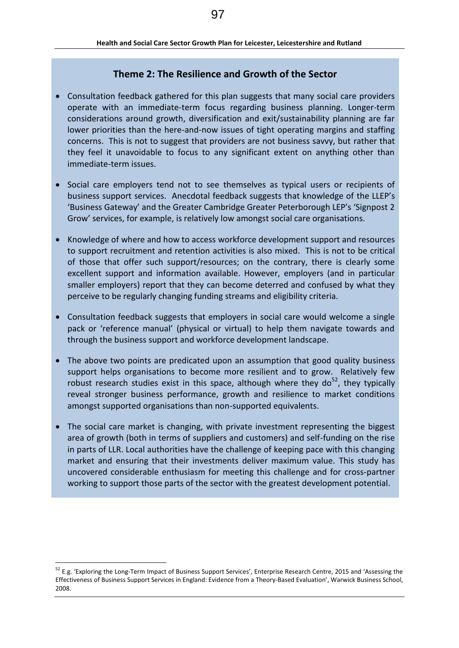# **Theme 2: The Resilience and Growth of the Sector**

- Consultation feedback gathered for this plan suggests that many social care providers operate with an immediate-term focus regarding business planning. Longer-term considerations around growth, diversification and exit/sustainability planning are far lower priorities than the here-and-now issues of tight operating margins and staffing concerns. This is not to suggest that providers are not business savvy, but rather that they feel it unavoidable to focus to any significant extent on anything other than immediate-term issues.
- Social care employers tend not to see themselves as typical users or recipients of business support services. Anecdotal feedback suggests that knowledge of the LLEP's 'Business Gateway' and the Greater Cambridge Greater Peterborough LEP's 'Signpost 2 Grow' services, for example, is relatively low amongst social care organisations.
- Knowledge of where and how to access workforce development support and resources to support recruitment and retention activities is also mixed. This is not to be critical of those that offer such support/resources; on the contrary, there is clearly some excellent support and information available. However, employers (and in particular smaller employers) report that they can become deterred and confused by what they perceive to be regularly changing funding streams and eligibility criteria.
- Consultation feedback suggests that employers in social care would welcome a single pack or 'reference manual' (physical or virtual) to help them navigate towards and through the business support and workforce development landscape.
- The above two points are predicated upon an assumption that good quality business support helps organisations to become more resilient and to grow. Relatively few robust research studies exist in this space, although where they do<sup>52</sup>, they typically reveal stronger business performance, growth and resilience to market conditions amongst supported organisations than non-supported equivalents.
- The social care market is changing, with private investment representing the biggest area of growth (both in terms of suppliers and customers) and self-funding on the rise in parts of LLR. Local authorities have the challenge of keeping pace with this changing market and ensuring that their investments deliver maximum value. This study has uncovered considerable enthusiasm for meeting this challenge and for cross-partner working to support those parts of the sector with the greatest development potential.

<sup>&</sup>lt;sup>52</sup> E.g. 'Exploring the Long-Term Impact of Business Support Services', Enterprise Research Centre, 2015 and 'Assessing the Effectiveness of Business Support Services in England: Evidence from a Theory-Based Evaluation', Warwick Business School, 2008.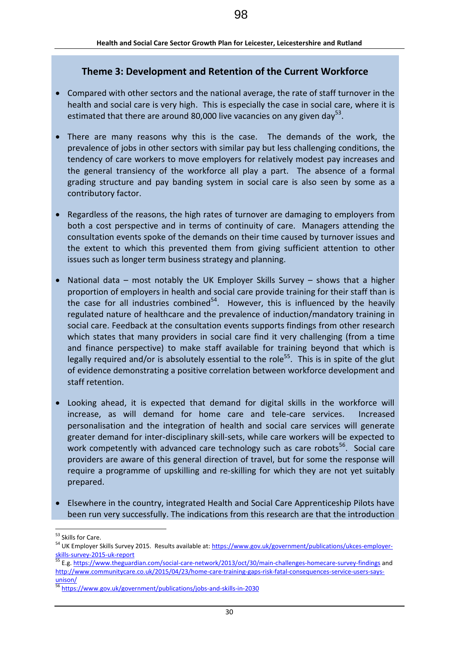## **Theme 3: Development and Retention of the Current Workforce**

- Compared with other sectors and the national average, the rate of staff turnover in the health and social care is very high. This is especially the case in social care, where it is estimated that there are around 80,000 live vacancies on any given day<sup>53</sup>.
- There are many reasons why this is the case. The demands of the work, the prevalence of jobs in other sectors with similar pay but less challenging conditions, the tendency of care workers to move employers for relatively modest pay increases and the general transiency of the workforce all play a part. The absence of a formal grading structure and pay banding system in social care is also seen by some as a contributory factor.
- Regardless of the reasons, the high rates of turnover are damaging to employers from both a cost perspective and in terms of continuity of care. Managers attending the consultation events spoke of the demands on their time caused by turnover issues and the extent to which this prevented them from giving sufficient attention to other issues such as longer term business strategy and planning.
- National data most notably the UK Employer Skills Survey shows that a higher proportion of employers in health and social care provide training for their staff than is the case for all industries combined<sup>54</sup>. However, this is influenced by the heavily regulated nature of healthcare and the prevalence of induction/mandatory training in social care. Feedback at the consultation events supports findings from other research which states that many providers in social care find it very challenging (from a time and finance perspective) to make staff available for training beyond that which is legally required and/or is absolutely essential to the role<sup>55</sup>. This is in spite of the glut of evidence demonstrating a positive correlation between workforce development and staff retention.
- Looking ahead, it is expected that demand for digital skills in the workforce will increase, as will demand for home care and tele-care services. Increased personalisation and the integration of health and social care services will generate greater demand for inter-disciplinary skill-sets, while care workers will be expected to work competently with advanced care technology such as care robots<sup>56</sup>. Social care providers are aware of this general direction of travel, but for some the response will require a programme of upskilling and re-skilling for which they are not yet suitably prepared.
- Elsewhere in the country, integrated Health and Social Care Apprenticeship Pilots have been run very successfully. The indications from this research are that the introduction

<sup>53</sup> Skills for Care.

<sup>54</sup> UK Employer Skills Survey 2015. Results available at: [https://www.gov.uk/government/publications/ukces-employer](https://www.gov.uk/government/publications/ukces-employer-skills-survey-2015-uk-report)[skills-survey-2015-uk-report](https://www.gov.uk/government/publications/ukces-employer-skills-survey-2015-uk-report)

<sup>&</sup>lt;sup>55</sup> E.g[. https://www.theguardian.com/social-care-network/2013/oct/30/main-challenges-homecare-survey-findings](https://www.theguardian.com/social-care-network/2013/oct/30/main-challenges-homecare-survey-findings) and [http://www.communitycare.co.uk/2015/04/23/home-care-training-gaps-risk-fatal-consequences-service-users-says](http://www.communitycare.co.uk/2015/04/23/home-care-training-gaps-risk-fatal-consequences-service-users-says-unison/)[unison/](http://www.communitycare.co.uk/2015/04/23/home-care-training-gaps-risk-fatal-consequences-service-users-says-unison/) 

<sup>56</sup> <https://www.gov.uk/government/publications/jobs-and-skills-in-2030>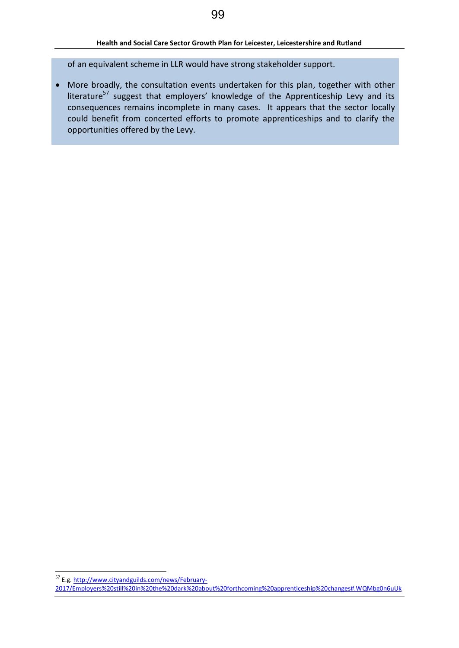of an equivalent scheme in LLR would have strong stakeholder support.

 More broadly, the consultation events undertaken for this plan, together with other literature<sup>57</sup> suggest that employers' knowledge of the Apprenticeship Levy and its consequences remains incomplete in many cases. It appears that the sector locally could benefit from concerted efforts to promote apprenticeships and to clarify the opportunities offered by the Levy.

<sup>&</sup>lt;sup>57</sup> E.g[. http://www.cityandguilds.com/news/February-](http://www.cityandguilds.com/news/February-2017/Employers%20still%20in%20the%20dark%20about%20forthcoming%20apprenticeship%20changes#.WQMbg0n6uUk)

[<sup>2017/</sup>Employers%20still%20in%20the%20dark%20about%20forthcoming%20apprenticeship%20changes#.WQMbg0n6uUk](http://www.cityandguilds.com/news/February-2017/Employers%20still%20in%20the%20dark%20about%20forthcoming%20apprenticeship%20changes#.WQMbg0n6uUk)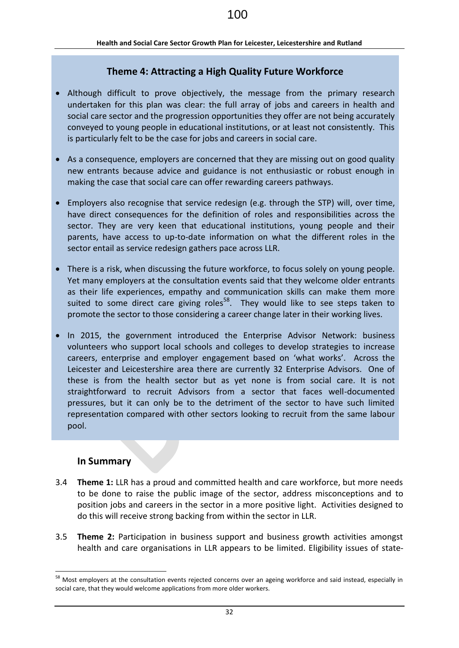# **Theme 4: Attracting a High Quality Future Workforce**

- Although difficult to prove objectively, the message from the primary research undertaken for this plan was clear: the full array of jobs and careers in health and social care sector and the progression opportunities they offer are not being accurately conveyed to young people in educational institutions, or at least not consistently. This is particularly felt to be the case for jobs and careers in social care.
- As a consequence, employers are concerned that they are missing out on good quality new entrants because advice and guidance is not enthusiastic or robust enough in making the case that social care can offer rewarding careers pathways.
- Employers also recognise that service redesign (e.g. through the STP) will, over time, have direct consequences for the definition of roles and responsibilities across the sector. They are very keen that educational institutions, young people and their parents, have access to up-to-date information on what the different roles in the sector entail as service redesign gathers pace across LLR.
- There is a risk, when discussing the future workforce, to focus solely on young people. Yet many employers at the consultation events said that they welcome older entrants as their life experiences, empathy and communication skills can make them more suited to some direct care giving roles<sup>58</sup>. They would like to see steps taken to promote the sector to those considering a career change later in their working lives.
- In 2015, the government introduced the Enterprise Advisor Network: business volunteers who support local schools and colleges to develop strategies to increase careers, enterprise and employer engagement based on 'what works'. Across the Leicester and Leicestershire area there are currently 32 Enterprise Advisors. One of these is from the health sector but as yet none is from social care. It is not straightforward to recruit Advisors from a sector that faces well-documented pressures, but it can only be to the detriment of the sector to have such limited representation compared with other sectors looking to recruit from the same labour pool.

### **In Summary**

- 3.4 **Theme 1:** LLR has a proud and committed health and care workforce, but more needs to be done to raise the public image of the sector, address misconceptions and to position jobs and careers in the sector in a more positive light. Activities designed to do this will receive strong backing from within the sector in LLR.
- 3.5 **Theme 2:** Participation in business support and business growth activities amongst health and care organisations in LLR appears to be limited. Eligibility issues of state-

<sup>&</sup>lt;sup>58</sup> Most employers at the consultation events rejected concerns over an ageing workforce and said instead, especially in social care, that they would welcome applications from more older workers.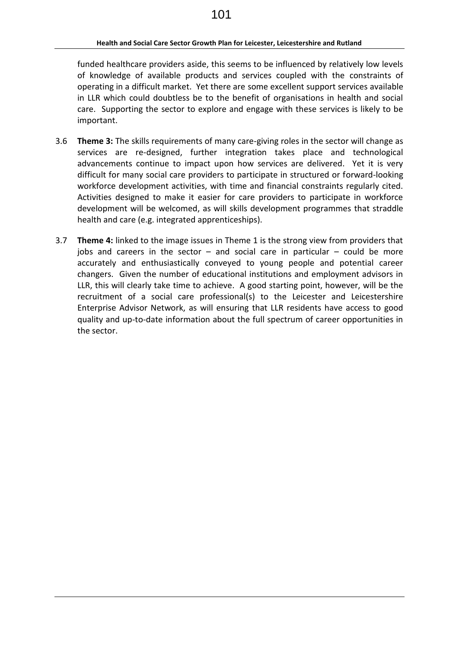funded healthcare providers aside, this seems to be influenced by relatively low levels of knowledge of available products and services coupled with the constraints of operating in a difficult market. Yet there are some excellent support services available in LLR which could doubtless be to the benefit of organisations in health and social care. Supporting the sector to explore and engage with these services is likely to be important.

- 3.6 **Theme 3:** The skills requirements of many care-giving roles in the sector will change as services are re-designed, further integration takes place and technological advancements continue to impact upon how services are delivered. Yet it is very difficult for many social care providers to participate in structured or forward-looking workforce development activities, with time and financial constraints regularly cited. Activities designed to make it easier for care providers to participate in workforce development will be welcomed, as will skills development programmes that straddle health and care (e.g. integrated apprenticeships).
- 3.7 **Theme 4:** linked to the image issues in Theme 1 is the strong view from providers that jobs and careers in the sector  $-$  and social care in particular  $-$  could be more accurately and enthusiastically conveyed to young people and potential career changers. Given the number of educational institutions and employment advisors in LLR, this will clearly take time to achieve. A good starting point, however, will be the recruitment of a social care professional(s) to the Leicester and Leicestershire Enterprise Advisor Network, as will ensuring that LLR residents have access to good quality and up-to-date information about the full spectrum of career opportunities in the sector.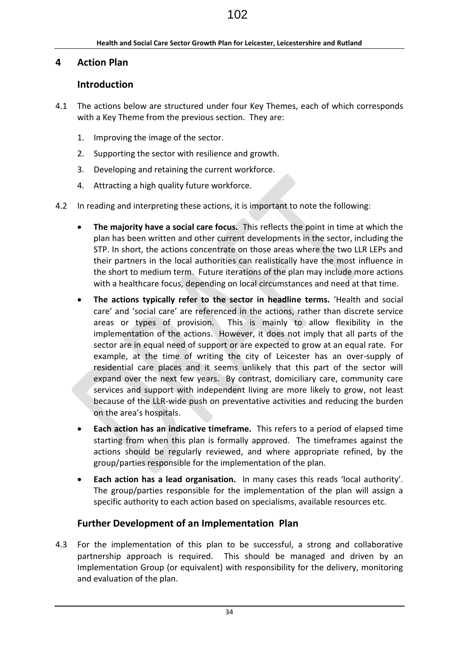# **4 Action Plan**

# **Introduction**

- 4.1 The actions below are structured under four Key Themes, each of which corresponds with a Key Theme from the previous section. They are:
	- 1. Improving the image of the sector.
	- 2. Supporting the sector with resilience and growth.
	- 3. Developing and retaining the current workforce.
	- 4. Attracting a high quality future workforce.
- 4.2 In reading and interpreting these actions, it is important to note the following:
	- **The majority have a social care focus.** This reflects the point in time at which the plan has been written and other current developments in the sector, including the STP. In short, the actions concentrate on those areas where the two LLR LEPs and their partners in the local authorities can realistically have the most influence in the short to medium term. Future iterations of the plan may include more actions with a healthcare focus, depending on local circumstances and need at that time.
	- **The actions typically refer to the sector in headline terms.** 'Health and social care' and 'social care' are referenced in the actions, rather than discrete service areas or types of provision. This is mainly to allow flexibility in the implementation of the actions. However, it does not imply that all parts of the sector are in equal need of support or are expected to grow at an equal rate. For example, at the time of writing the city of Leicester has an over-supply of residential care places and it seems unlikely that this part of the sector will expand over the next few years. By contrast, domiciliary care, community care services and support with independent living are more likely to grow, not least because of the LLR-wide push on preventative activities and reducing the burden on the area's hospitals.
	- **Each action has an indicative timeframe.** This refers to a period of elapsed time starting from when this plan is formally approved. The timeframes against the actions should be regularly reviewed, and where appropriate refined, by the group/parties responsible for the implementation of the plan.
	- **Each action has a lead organisation.** In many cases this reads 'local authority'. The group/parties responsible for the implementation of the plan will assign a specific authority to each action based on specialisms, available resources etc.

# **Further Development of an Implementation Plan**

4.3 For the implementation of this plan to be successful, a strong and collaborative partnership approach is required. This should be managed and driven by an Implementation Group (or equivalent) with responsibility for the delivery, monitoring and evaluation of the plan.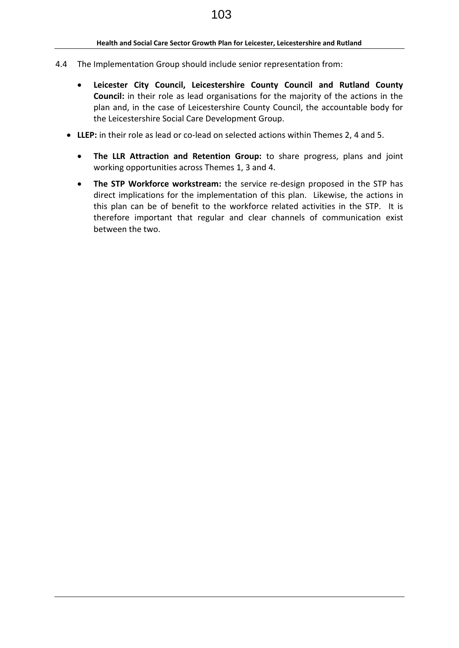- 4.4 The Implementation Group should include senior representation from:
	- **Leicester City Council, Leicestershire County Council and Rutland County Council:** in their role as lead organisations for the majority of the actions in the plan and, in the case of Leicestershire County Council, the accountable body for the Leicestershire Social Care Development Group.
	- **LLEP:** in their role as lead or co-lead on selected actions within Themes 2, 4 and 5.
		- **The LLR Attraction and Retention Group:** to share progress, plans and joint working opportunities across Themes 1, 3 and 4.
		- **The STP Workforce workstream:** the service re-design proposed in the STP has direct implications for the implementation of this plan. Likewise, the actions in this plan can be of benefit to the workforce related activities in the STP. It is therefore important that regular and clear channels of communication exist between the two.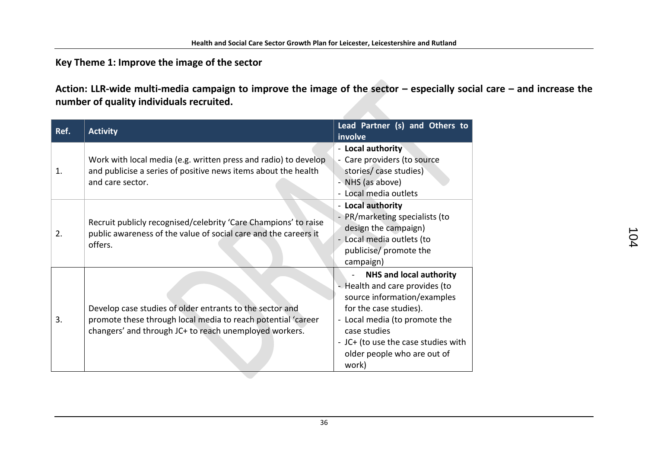# **Key Theme 1: Improve the image of the sector**

Action: LLR-wide multi-media campaign to improve the image of the sector – especially social care – and increase the **number of quality individuals recruited.**

| Ref. | <b>Activity</b>                                                                                                                                                                    | Lead Partner (s) and Others to<br>involve                                                                                                                                                                                                                 |
|------|------------------------------------------------------------------------------------------------------------------------------------------------------------------------------------|-----------------------------------------------------------------------------------------------------------------------------------------------------------------------------------------------------------------------------------------------------------|
| 1.   | Work with local media (e.g. written press and radio) to develop<br>and publicise a series of positive news items about the health<br>and care sector.                              | - Local authority<br>- Care providers (to source<br>stories/ case studies)<br>- NHS (as above)<br>- Local media outlets                                                                                                                                   |
| 2.   | Recruit publicly recognised/celebrity 'Care Champions' to raise<br>public awareness of the value of social care and the careers it<br>offers.                                      | - Local authority<br>PR/marketing specialists (to<br>design the campaign)<br>Local media outlets (to<br>publicise/ promote the<br>campaign)                                                                                                               |
| 3.   | Develop case studies of older entrants to the sector and<br>promote these through local media to reach potential 'career<br>changers' and through JC+ to reach unemployed workers. | <b>NHS and local authority</b><br>- Health and care provides (to<br>source information/examples<br>for the case studies).<br>- Local media (to promote the<br>case studies<br>- JC+ (to use the case studies with<br>older people who are out of<br>work) |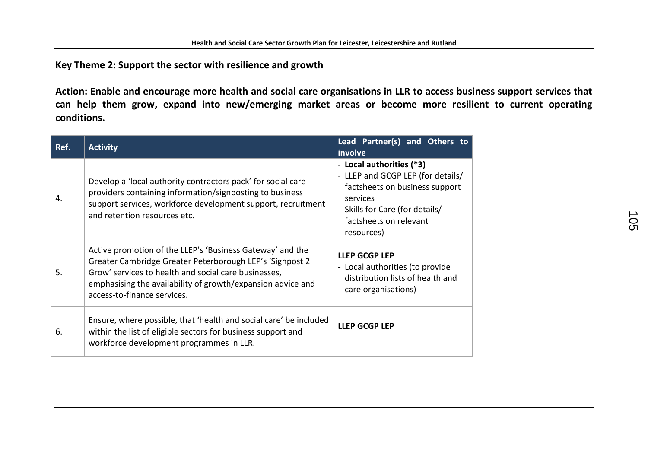**Key Theme 2: Support the sector with resilience and growth**

**Action: Enable and encourage more health and social care organisations in LLR to access business support services that can help them grow, expand into new/emerging market areas or become more resilient to current operating conditions.**

| Ref. | <b>Activity</b>                                                                                                                                                                                                                                                             | Lead Partner(s) and Others to<br>involve                                                                                                                                               |
|------|-----------------------------------------------------------------------------------------------------------------------------------------------------------------------------------------------------------------------------------------------------------------------------|----------------------------------------------------------------------------------------------------------------------------------------------------------------------------------------|
| 4.   | Develop a 'local authority contractors pack' for social care<br>providers containing information/signposting to business<br>support services, workforce development support, recruitment<br>and retention resources etc.                                                    | - Local authorities (*3)<br>- LLEP and GCGP LEP (for details/<br>factsheets on business support<br>services<br>- Skills for Care (for details/<br>factsheets on relevant<br>resources) |
| 5.   | Active promotion of the LLEP's 'Business Gateway' and the<br>Greater Cambridge Greater Peterborough LEP's 'Signpost 2<br>Grow' services to health and social care businesses,<br>emphasising the availability of growth/expansion advice and<br>access-to-finance services. | <b>LLEP GCGP LEP</b><br>- Local authorities (to provide<br>distribution lists of health and<br>care organisations)                                                                     |
| 6.   | Ensure, where possible, that 'health and social care' be included<br>within the list of eligible sectors for business support and<br>workforce development programmes in LLR.                                                                                               | <b>LLEP GCGP LEP</b>                                                                                                                                                                   |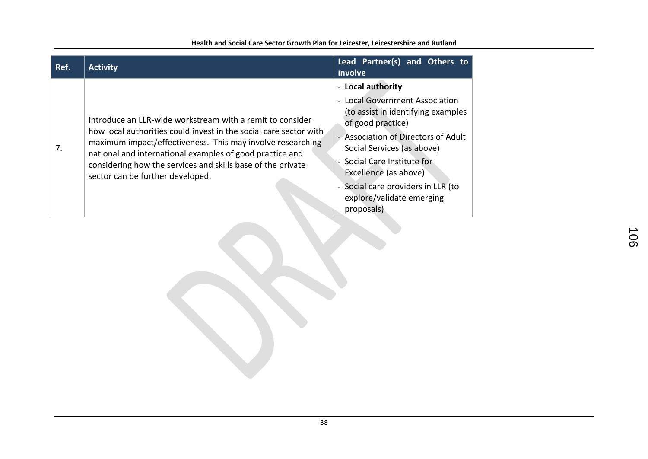| Ref. | <b>Activity</b>                                                                                                                                                                                                                                                                                                                                             | Lead Partner(s) and Others to<br>involve                                                                                                                                                                                                                                                                                     |
|------|-------------------------------------------------------------------------------------------------------------------------------------------------------------------------------------------------------------------------------------------------------------------------------------------------------------------------------------------------------------|------------------------------------------------------------------------------------------------------------------------------------------------------------------------------------------------------------------------------------------------------------------------------------------------------------------------------|
| 7.   | Introduce an LLR-wide workstream with a remit to consider<br>how local authorities could invest in the social care sector with<br>maximum impact/effectiveness. This may involve researching<br>national and international examples of good practice and<br>considering how the services and skills base of the private<br>sector can be further developed. | - Local authority<br>- Local Government Association<br>(to assist in identifying examples<br>of good practice)<br>- Association of Directors of Adult<br>Social Services (as above)<br>- Social Care Institute for<br>Excellence (as above)<br>- Social care providers in LLR (to<br>explore/validate emerging<br>proposals) |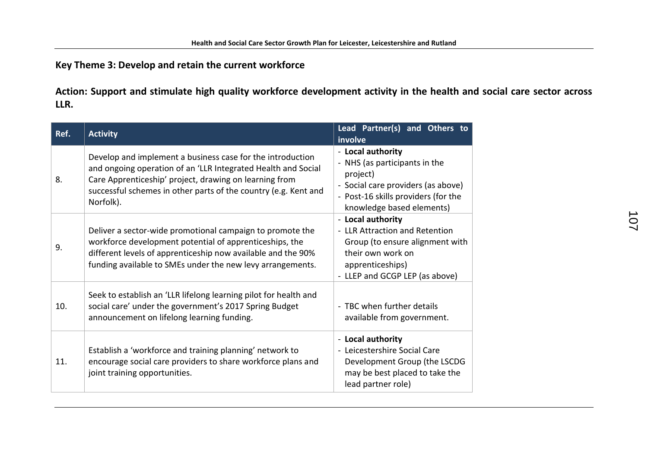**Key Theme 3: Develop and retain the current workforce**

**Action: Support and stimulate high quality workforce development activity in the health and social care sector across LLR.**

| Ref. | <b>Activity</b>                                                                                                                                                                                                                                                       | Lead Partner(s) and Others to<br>involve                                                                                                                                 |
|------|-----------------------------------------------------------------------------------------------------------------------------------------------------------------------------------------------------------------------------------------------------------------------|--------------------------------------------------------------------------------------------------------------------------------------------------------------------------|
| 8.   | Develop and implement a business case for the introduction<br>and ongoing operation of an 'LLR Integrated Health and Social<br>Care Apprenticeship' project, drawing on learning from<br>successful schemes in other parts of the country (e.g. Kent and<br>Norfolk). | - Local authority<br>- NHS (as participants in the<br>project)<br>- Social care providers (as above)<br>- Post-16 skills providers (for the<br>knowledge based elements) |
| 9.   | Deliver a sector-wide promotional campaign to promote the<br>workforce development potential of apprenticeships, the<br>different levels of apprenticeship now available and the 90%<br>funding available to SMEs under the new levy arrangements.                    | - Local authority<br>- LLR Attraction and Retention<br>Group (to ensure alignment with<br>their own work on<br>apprenticeships)<br>- LLEP and GCGP LEP (as above)        |
| 10.  | Seek to establish an 'LLR lifelong learning pilot for health and<br>social care' under the government's 2017 Spring Budget<br>announcement on lifelong learning funding.                                                                                              | - TBC when further details<br>available from government.                                                                                                                 |
| 11.  | Establish a 'workforce and training planning' network to<br>encourage social care providers to share workforce plans and<br>joint training opportunities.                                                                                                             | - Local authority<br>- Leicestershire Social Care<br>Development Group (the LSCDG<br>may be best placed to take the<br>lead partner role)                                |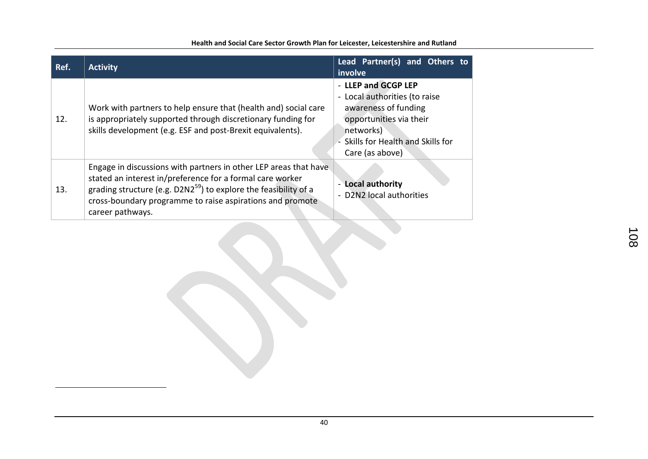| Ref. | <b>Activity</b>                                                                                                                                                                                                                                                                         | Lead Partner(s) and Others to<br>involve                                                                                                                                      |
|------|-----------------------------------------------------------------------------------------------------------------------------------------------------------------------------------------------------------------------------------------------------------------------------------------|-------------------------------------------------------------------------------------------------------------------------------------------------------------------------------|
| 12.  | Work with partners to help ensure that (health and) social care<br>is appropriately supported through discretionary funding for<br>skills development (e.g. ESF and post-Brexit equivalents).                                                                                           | - LLEP and GCGP LEP<br>- Local authorities (to raise<br>awareness of funding<br>opportunities via their<br>networks)<br>- Skills for Health and Skills for<br>Care (as above) |
| 13.  | Engage in discussions with partners in other LEP areas that have<br>stated an interest in/preference for a formal care worker<br>grading structure (e.g. $D2N2^{59}$ ) to explore the feasibility of a<br>cross-boundary programme to raise aspirations and promote<br>career pathways. | - Local authority<br>- D2N2 local authorities                                                                                                                                 |

<u>.</u>

#### **Health and Social Care Sector Growth Plan for Leicester, Leicestershire and Rutland**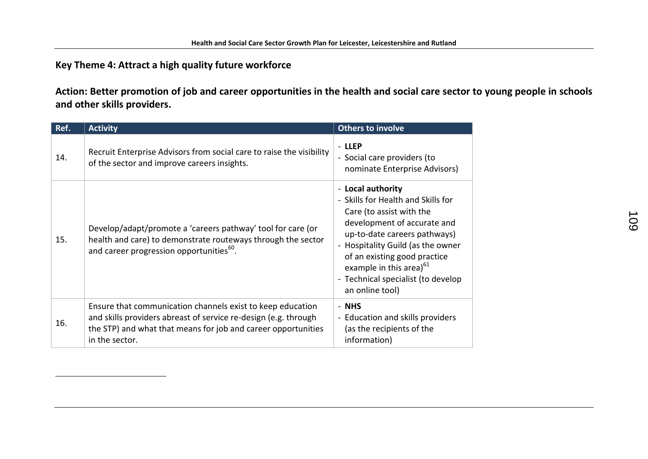# **Key Theme 4: Attract a high quality future workforce**

<u>.</u>

**Action: Better promotion of job and career opportunities in the health and social care sector to young people in schools and other skills providers.**

| Ref. | <b>Activity</b>                                                                                                                                                                                                  | <b>Others to involve</b>                                                                                                                                                                                                                                                                                                |
|------|------------------------------------------------------------------------------------------------------------------------------------------------------------------------------------------------------------------|-------------------------------------------------------------------------------------------------------------------------------------------------------------------------------------------------------------------------------------------------------------------------------------------------------------------------|
| 14.  | Recruit Enterprise Advisors from social care to raise the visibility<br>of the sector and improve careers insights.                                                                                              | - LLEP<br>- Social care providers (to<br>nominate Enterprise Advisors)                                                                                                                                                                                                                                                  |
| 15.  | Develop/adapt/promote a 'careers pathway' tool for care (or<br>health and care) to demonstrate routeways through the sector<br>and career progression opportunities <sup>60</sup> .                              | - Local authority<br>- Skills for Health and Skills for<br>Care (to assist with the<br>development of accurate and<br>up-to-date careers pathways)<br>- Hospitality Guild (as the owner<br>of an existing good practice<br>example in this area) <sup>61</sup><br>- Technical specialist (to develop<br>an online tool) |
| 16.  | Ensure that communication channels exist to keep education<br>and skills providers abreast of service re-design (e.g. through<br>the STP) and what that means for job and career opportunities<br>in the sector. | - NHS<br>- Education and skills providers<br>(as the recipients of the<br>information)                                                                                                                                                                                                                                  |